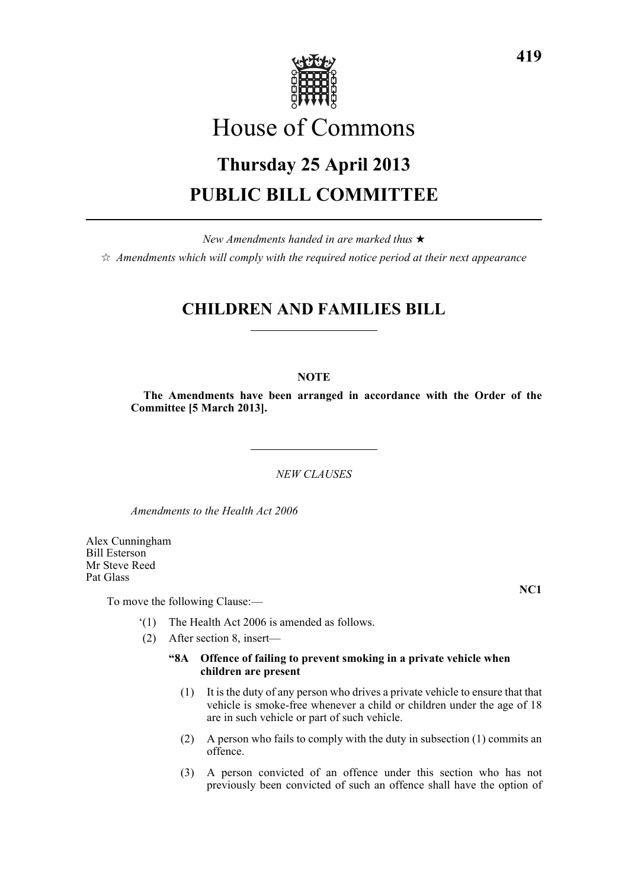

# House of Commons

# **Thursday 25 April 2013 PUBLIC BILL COMMITTEE**

*New Amendments handed in are marked thus* \*  $\dot{\varphi}$  *Amendments which will comply with the required notice period at their next appearance* 

# **CHILDREN AND FAMILIES BILL**

# **NOTE**

**The Amendments have been arranged in accordance with the Order of the Committee [5 March 2013].**

*NEW CLAUSES*

*Amendments to the Health Act 2006*

Alex Cunningham Bill Esterson Mr Steve Reed Pat Glass

To move the following Clause:—

- '(1) The Health Act 2006 is amended as follows.
- (2) After section 8, insert—

### **"8A Offence of failing to prevent smoking in a private vehicle when children are present**

- (1) It is the duty of any person who drives a private vehicle to ensure that that vehicle is smoke-free whenever a child or children under the age of 18 are in such vehicle or part of such vehicle.
- (2) A person who fails to comply with the duty in subsection (1) commits an offence.
- (3) A person convicted of an offence under this section who has not previously been convicted of such an offence shall have the option of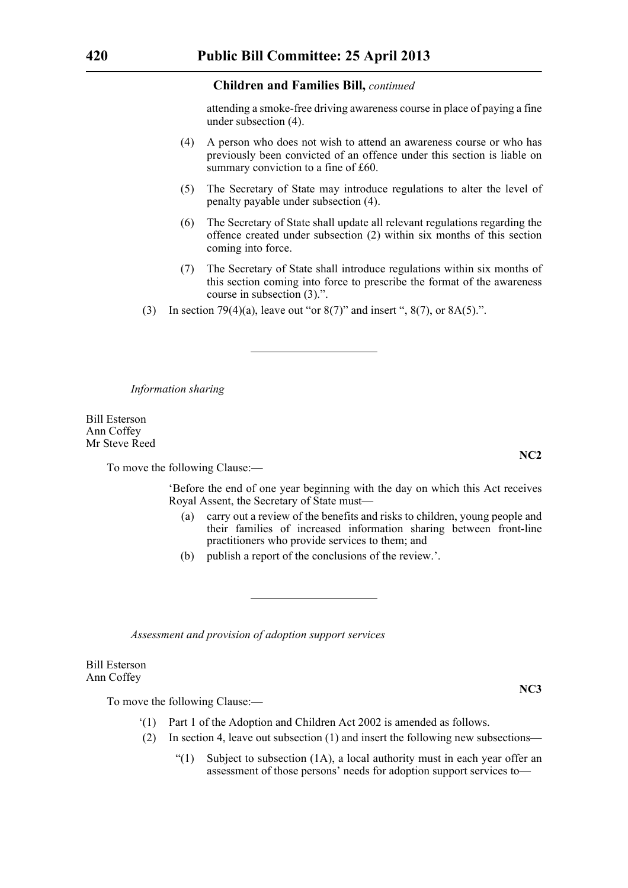attending a smoke-free driving awareness course in place of paying a fine under subsection (4).

- (4) A person who does not wish to attend an awareness course or who has previously been convicted of an offence under this section is liable on summary conviction to a fine of £60.
- (5) The Secretary of State may introduce regulations to alter the level of penalty payable under subsection (4).
- (6) The Secretary of State shall update all relevant regulations regarding the offence created under subsection (2) within six months of this section coming into force.
- (7) The Secretary of State shall introduce regulations within six months of this section coming into force to prescribe the format of the awareness course in subsection (3).".
- (3) In section 79(4)(a), leave out "or  $8(7)$ " and insert ",  $8(7)$ , or  $8A(5)$ .".

*Information sharing*

Bill Esterson Ann Coffey Mr Steve Reed

To move the following Clause:—

'Before the end of one year beginning with the day on which this Act receives Royal Assent, the Secretary of State must—

- (a) carry out a review of the benefits and risks to children, young people and their families of increased information sharing between front-line practitioners who provide services to them; and
- (b) publish a report of the conclusions of the review.'.

*Assessment and provision of adoption support services*

Bill Esterson Ann Coffey

To move the following Clause:—

- '(1) Part 1 of the Adoption and Children Act 2002 is amended as follows.
- (2) In section 4, leave out subsection (1) and insert the following new subsections—
	- "(1) Subject to subsection  $(1A)$ , a local authority must in each year offer an assessment of those persons' needs for adoption support services to—

**NC2**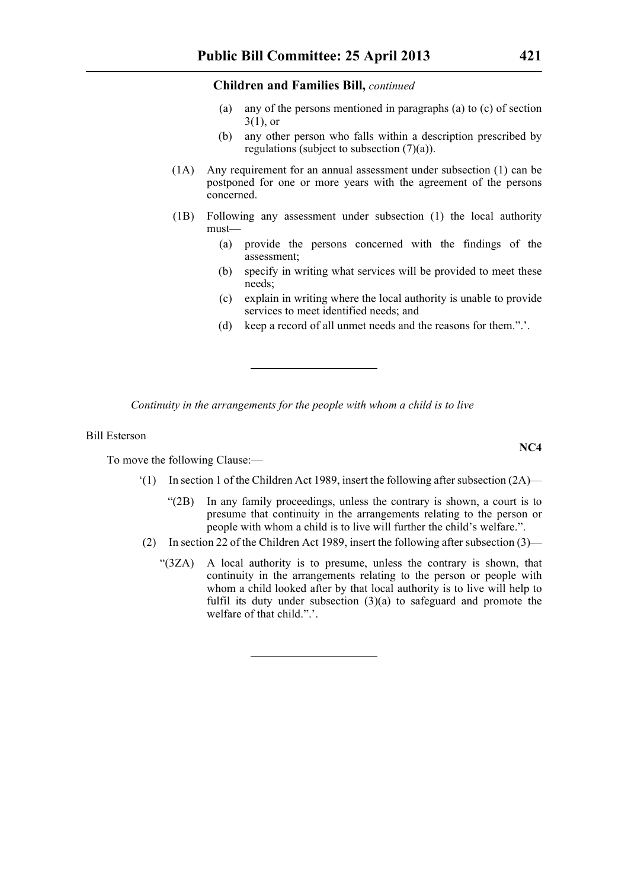- (a) any of the persons mentioned in paragraphs (a) to (c) of section  $3(1)$ , or
- (b) any other person who falls within a description prescribed by regulations (subject to subsection  $(7)(a)$ ).
- (1A) Any requirement for an annual assessment under subsection (1) can be postponed for one or more years with the agreement of the persons concerned.
- (1B) Following any assessment under subsection (1) the local authority must—
	- (a) provide the persons concerned with the findings of the assessment;
	- (b) specify in writing what services will be provided to meet these needs;
	- (c) explain in writing where the local authority is unable to provide services to meet identified needs; and
	- (d) keep a record of all unmet needs and the reasons for them.".'.

*Continuity in the arrangements for the people with whom a child is to live*

# Bill Esterson

To move the following Clause:—

- $(1)$  In section 1 of the Children Act 1989, insert the following after subsection  $(2A)$ 
	- "(2B) In any family proceedings, unless the contrary is shown, a court is to presume that continuity in the arrangements relating to the person or people with whom a child is to live will further the child's welfare.".
- (2) In section 22 of the Children Act 1989, insert the following after subsection (3)—
	- "(3ZA) A local authority is to presume, unless the contrary is shown, that continuity in the arrangements relating to the person or people with whom a child looked after by that local authority is to live will help to fulfil its duty under subsection  $(3)(a)$  to safeguard and promote the welfare of that child.".'.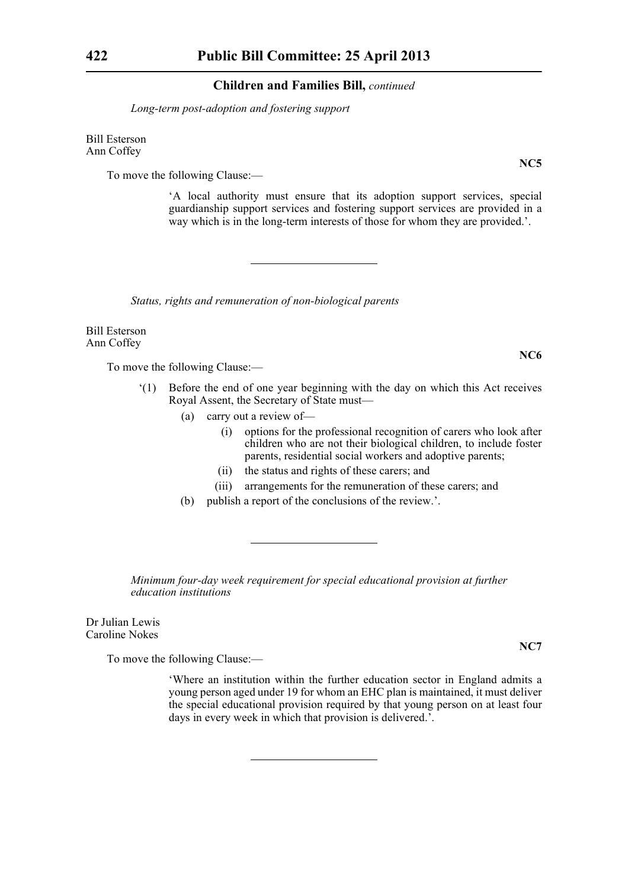*Long-term post-adoption and fostering support*

Bill Esterson Ann Coffey

To move the following Clause:—

'A local authority must ensure that its adoption support services, special guardianship support services and fostering support services are provided in a way which is in the long-term interests of those for whom they are provided.'.

*Status, rights and remuneration of non-biological parents*

Bill Esterson Ann Coffey

To move the following Clause:—

- '(1) Before the end of one year beginning with the day on which this Act receives Royal Assent, the Secretary of State must—
	- (a) carry out a review of—
		- (i) options for the professional recognition of carers who look after children who are not their biological children, to include foster parents, residential social workers and adoptive parents;
		- (ii) the status and rights of these carers; and
		- (iii) arrangements for the remuneration of these carers; and
	- (b) publish a report of the conclusions of the review.'.

*Minimum four-day week requirement for special educational provision at further education institutions*

Dr Julian Lewis Caroline Nokes

To move the following Clause:—

'Where an institution within the further education sector in England admits a young person aged under 19 for whom an EHC plan is maintained, it must deliver the special educational provision required by that young person on at least four days in every week in which that provision is delivered.'.

**NC5**

**NC6**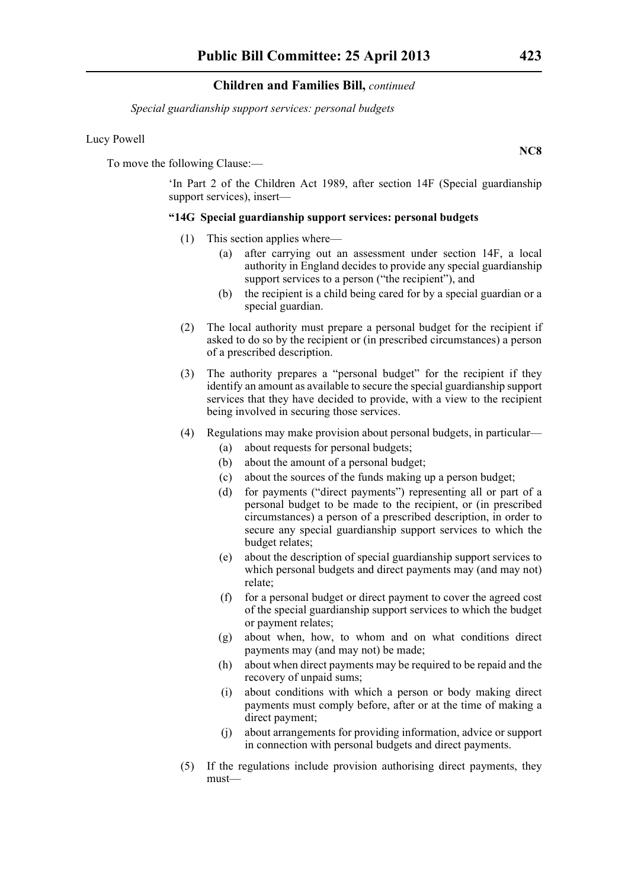*Special guardianship support services: personal budgets*

#### Lucy Powell

To move the following Clause:—

'In Part 2 of the Children Act 1989, after section 14F (Special guardianship support services), insert—

#### **"14G Special guardianship support services: personal budgets**

- (1) This section applies where—
	- (a) after carrying out an assessment under section 14F, a local authority in England decides to provide any special guardianship support services to a person ("the recipient"), and
	- (b) the recipient is a child being cared for by a special guardian or a special guardian.
- (2) The local authority must prepare a personal budget for the recipient if asked to do so by the recipient or (in prescribed circumstances) a person of a prescribed description.
- (3) The authority prepares a "personal budget" for the recipient if they identify an amount as available to secure the special guardianship support services that they have decided to provide, with a view to the recipient being involved in securing those services.
- (4) Regulations may make provision about personal budgets, in particular—
	- (a) about requests for personal budgets;
	- (b) about the amount of a personal budget;
	- (c) about the sources of the funds making up a person budget;
	- (d) for payments ("direct payments") representing all or part of a personal budget to be made to the recipient, or (in prescribed circumstances) a person of a prescribed description, in order to secure any special guardianship support services to which the budget relates;
	- (e) about the description of special guardianship support services to which personal budgets and direct payments may (and may not) relate;
	- (f) for a personal budget or direct payment to cover the agreed cost of the special guardianship support services to which the budget or payment relates;
	- (g) about when, how, to whom and on what conditions direct payments may (and may not) be made;
	- (h) about when direct payments may be required to be repaid and the recovery of unpaid sums;
	- (i) about conditions with which a person or body making direct payments must comply before, after or at the time of making a direct payment;
	- (j) about arrangements for providing information, advice or support in connection with personal budgets and direct payments.
- (5) If the regulations include provision authorising direct payments, they must—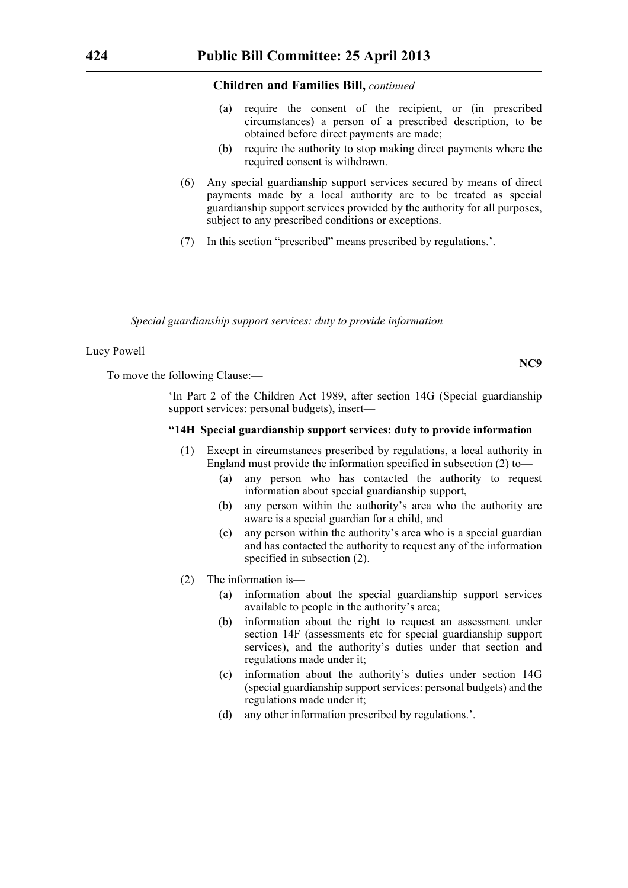- (a) require the consent of the recipient, or (in prescribed circumstances) a person of a prescribed description, to be obtained before direct payments are made;
- (b) require the authority to stop making direct payments where the required consent is withdrawn.
- (6) Any special guardianship support services secured by means of direct payments made by a local authority are to be treated as special guardianship support services provided by the authority for all purposes, subject to any prescribed conditions or exceptions.
- (7) In this section "prescribed" means prescribed by regulations.'.

*Special guardianship support services: duty to provide information*

#### Lucy Powell

To move the following Clause:—

'In Part 2 of the Children Act 1989, after section 14G (Special guardianship support services: personal budgets), insert—

#### **"14H Special guardianship support services: duty to provide information**

- (1) Except in circumstances prescribed by regulations, a local authority in England must provide the information specified in subsection (2) to—
	- (a) any person who has contacted the authority to request information about special guardianship support,
	- (b) any person within the authority's area who the authority are aware is a special guardian for a child, and
	- (c) any person within the authority's area who is a special guardian and has contacted the authority to request any of the information specified in subsection (2).
- (2) The information is—
	- (a) information about the special guardianship support services available to people in the authority's area;
	- (b) information about the right to request an assessment under section 14F (assessments etc for special guardianship support services), and the authority's duties under that section and regulations made under it;
	- (c) information about the authority's duties under section 14G (special guardianship support services: personal budgets) and the regulations made under it;
	- (d) any other information prescribed by regulations.'.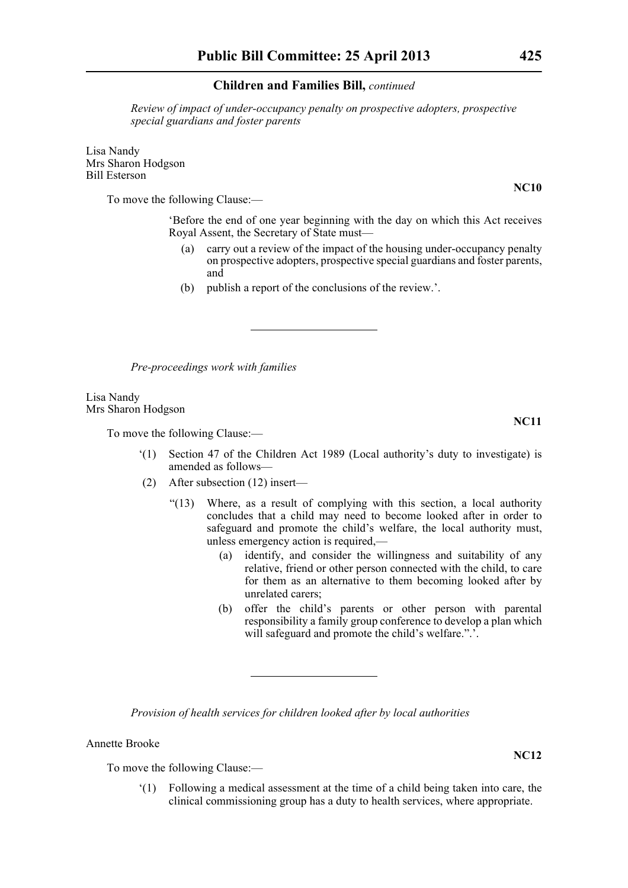*Review of impact of under-occupancy penalty on prospective adopters, prospective special guardians and foster parents*

Lisa Nandy Mrs Sharon Hodgson Bill Esterson

To move the following Clause:—

'Before the end of one year beginning with the day on which this Act receives Royal Assent, the Secretary of State must—

- (a) carry out a review of the impact of the housing under-occupancy penalty on prospective adopters, prospective special guardians and foster parents, and
- (b) publish a report of the conclusions of the review.'.

*Pre-proceedings work with families*

Lisa Nandy Mrs Sharon Hodgson

To move the following Clause:—

- '(1) Section 47 of the Children Act 1989 (Local authority's duty to investigate) is amended as follows—
- (2) After subsection (12) insert—
	- "(13) Where, as a result of complying with this section, a local authority concludes that a child may need to become looked after in order to safeguard and promote the child's welfare, the local authority must, unless emergency action is required,—
		- (a) identify, and consider the willingness and suitability of any relative, friend or other person connected with the child, to care for them as an alternative to them becoming looked after by unrelated carers;
		- (b) offer the child's parents or other person with parental responsibility a family group conference to develop a plan which will safeguard and promote the child's welfare.".'.

*Provision of health services for children looked after by local authorities*

Annette Brooke

To move the following Clause:—

'(1) Following a medical assessment at the time of a child being taken into care, the clinical commissioning group has a duty to health services, where appropriate.

**NC11**

**NC12**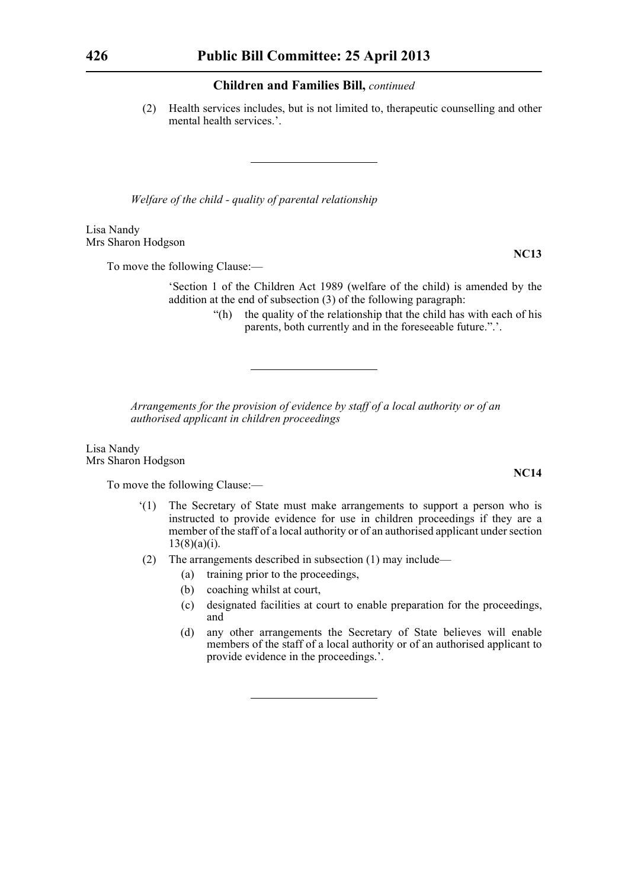(2) Health services includes, but is not limited to, therapeutic counselling and other mental health services.'.

*Welfare of the child - quality of parental relationship*

Lisa Nandy Mrs Sharon Hodgson

To move the following Clause:—

'Section 1 of the Children Act 1989 (welfare of the child) is amended by the addition at the end of subsection (3) of the following paragraph:

> "(h) the quality of the relationship that the child has with each of his parents, both currently and in the foreseeable future.".'.

*Arrangements for the provision of evidence by staff of a local authority or of an authorised applicant in children proceedings*

Lisa Nandy Mrs Sharon Hodgson

To move the following Clause:—

- '(1) The Secretary of State must make arrangements to support a person who is instructed to provide evidence for use in children proceedings if they are a member of the staff of a local authority or of an authorised applicant under section  $13(8)(a)(i)$ .
- (2) The arrangements described in subsection (1) may include—
	- (a) training prior to the proceedings,
	- (b) coaching whilst at court,
	- (c) designated facilities at court to enable preparation for the proceedings, and
	- (d) any other arrangements the Secretary of State believes will enable members of the staff of a local authority or of an authorised applicant to provide evidence in the proceedings.'.

**NC13**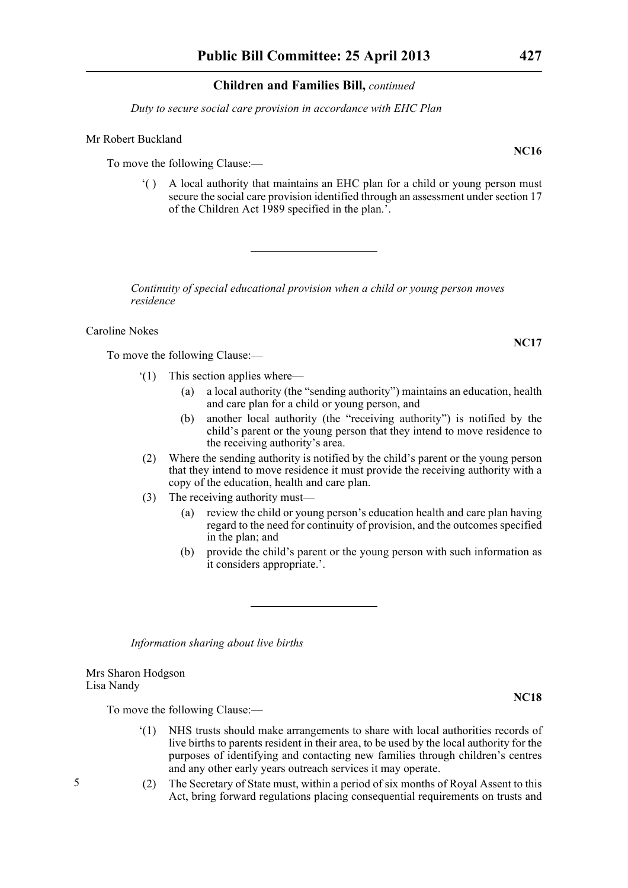*Duty to secure social care provision in accordance with EHC Plan*

#### Mr Robert Buckland

To move the following Clause:—

'( ) A local authority that maintains an EHC plan for a child or young person must secure the social care provision identified through an assessment under section 17 of the Children Act 1989 specified in the plan.'.

*Continuity of special educational provision when a child or young person moves residence*

Caroline Nokes

To move the following Clause:—

- '(1) This section applies where—
	- (a) a local authority (the "sending authority") maintains an education, health and care plan for a child or young person, and
	- (b) another local authority (the "receiving authority") is notified by the child's parent or the young person that they intend to move residence to the receiving authority's area.
- (2) Where the sending authority is notified by the child's parent or the young person that they intend to move residence it must provide the receiving authority with a copy of the education, health and care plan.
- (3) The receiving authority must—
	- (a) review the child or young person's education health and care plan having regard to the need for continuity of provision, and the outcomes specified in the plan; and
	- (b) provide the child's parent or the young person with such information as it considers appropriate.'.

*Information sharing about live births*

Mrs Sharon Hodgson Lisa Nandy

To move the following Clause:—

- '(1) NHS trusts should make arrangements to share with local authorities records of live births to parents resident in their area, to be used by the local authority for the purposes of identifying and contacting new families through children's centres and any other early years outreach services it may operate.
- (2) The Secretary of State must, within a period of six months of Royal Assent to this Act, bring forward regulations placing consequential requirements on trusts and

**NC18**

**NC16**

**NC17**

5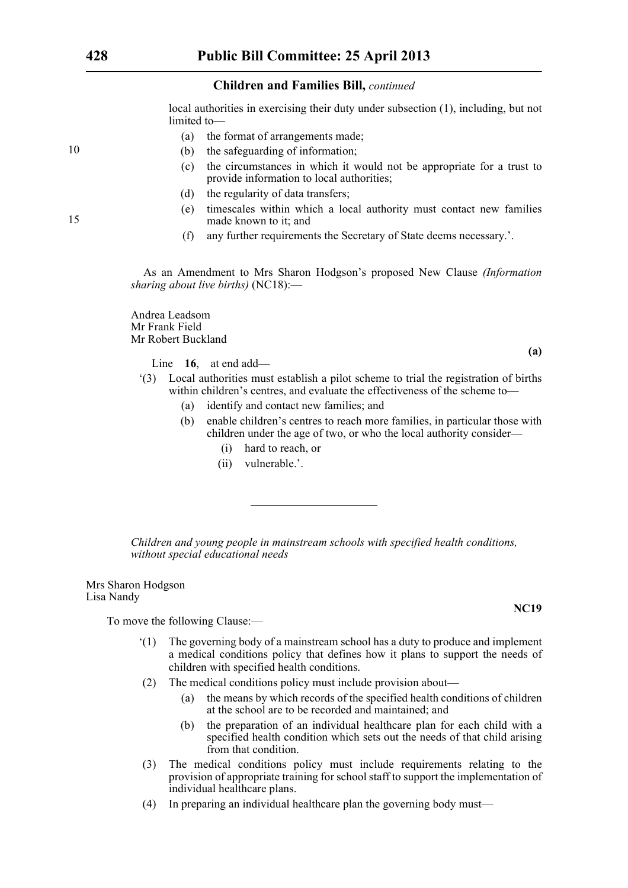local authorities in exercising their duty under subsection (1), including, but not limited to—

- (a) the format of arrangements made;
- (b) the safeguarding of information;
- (c) the circumstances in which it would not be appropriate for a trust to provide information to local authorities;
- (d) the regularity of data transfers;
- (e) timescales within which a local authority must contact new families made known to it; and
- (f) any further requirements the Secretary of State deems necessary.'.

As an Amendment to Mrs Sharon Hodgson's proposed New Clause *(Information sharing about live births)* (NC18):—

Andrea Leadsom Mr Frank Field Mr Robert Buckland

Line **16**, at end add—

**(a)**

- '(3) Local authorities must establish a pilot scheme to trial the registration of births within children's centres, and evaluate the effectiveness of the scheme to—
	- (a) identify and contact new families; and
	- (b) enable children's centres to reach more families, in particular those with children under the age of two, or who the local authority consider—
		- (i) hard to reach, or
		- (ii) vulnerable.'.

*Children and young people in mainstream schools with specified health conditions, without special educational needs*

Mrs Sharon Hodgson Lisa Nandy

To move the following Clause:—

- '(1) The governing body of a mainstream school has a duty to produce and implement a medical conditions policy that defines how it plans to support the needs of children with specified health conditions.
- (2) The medical conditions policy must include provision about—
	- (a) the means by which records of the specified health conditions of children at the school are to be recorded and maintained; and
	- (b) the preparation of an individual healthcare plan for each child with a specified health condition which sets out the needs of that child arising from that condition.
- (3) The medical conditions policy must include requirements relating to the provision of appropriate training for school staff to support the implementation of individual healthcare plans.
- (4) In preparing an individual healthcare plan the governing body must—

**NC19**

10

15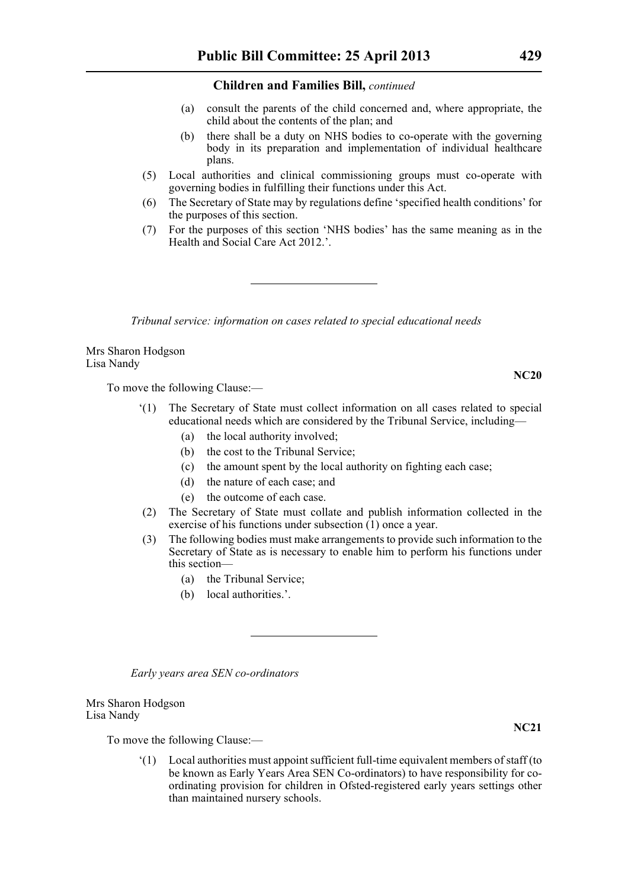- (a) consult the parents of the child concerned and, where appropriate, the child about the contents of the plan; and
- (b) there shall be a duty on NHS bodies to co-operate with the governing body in its preparation and implementation of individual healthcare plans.
- (5) Local authorities and clinical commissioning groups must co-operate with governing bodies in fulfilling their functions under this Act.
- (6) The Secretary of State may by regulations define 'specified health conditions' for the purposes of this section.
- (7) For the purposes of this section 'NHS bodies' has the same meaning as in the Health and Social Care Act 2012.'.

*Tribunal service: information on cases related to special educational needs*

Mrs Sharon Hodgson Lisa Nandy

To move the following Clause:—

- '(1) The Secretary of State must collect information on all cases related to special educational needs which are considered by the Tribunal Service, including—
	- (a) the local authority involved;
	- (b) the cost to the Tribunal Service;
	- (c) the amount spent by the local authority on fighting each case;
	- (d) the nature of each case; and
	- (e) the outcome of each case.
- (2) The Secretary of State must collate and publish information collected in the exercise of his functions under subsection (1) once a year.
- (3) The following bodies must make arrangements to provide such information to the Secretary of State as is necessary to enable him to perform his functions under this section—
	- (a) the Tribunal Service;
	- (b) local authorities.'.

*Early years area SEN co-ordinators*

Mrs Sharon Hodgson Lisa Nandy

To move the following Clause:—

'(1) Local authorities must appoint sufficient full-time equivalent members of staff (to be known as Early Years Area SEN Co-ordinators) to have responsibility for coordinating provision for children in Ofsted-registered early years settings other than maintained nursery schools.

**NC20**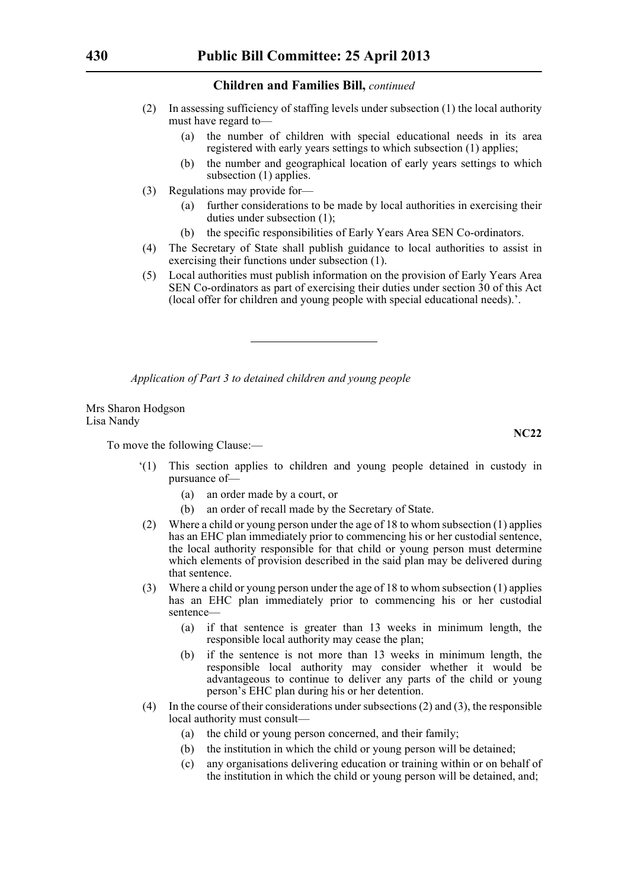- (2) In assessing sufficiency of staffing levels under subsection (1) the local authority must have regard to—
	- (a) the number of children with special educational needs in its area registered with early years settings to which subsection (1) applies;
	- (b) the number and geographical location of early years settings to which subsection (1) applies.
- (3) Regulations may provide for—
	- (a) further considerations to be made by local authorities in exercising their duties under subsection (1);
	- (b) the specific responsibilities of Early Years Area SEN Co-ordinators.
- (4) The Secretary of State shall publish guidance to local authorities to assist in exercising their functions under subsection (1).
- (5) Local authorities must publish information on the provision of Early Years Area SEN Co-ordinators as part of exercising their duties under section 30 of this Act (local offer for children and young people with special educational needs).'.

*Application of Part 3 to detained children and young people*

Mrs Sharon Hodgson Lisa Nandy

To move the following Clause:—

- '(1) This section applies to children and young people detained in custody in pursuance of—
	- (a) an order made by a court, or
	- (b) an order of recall made by the Secretary of State.
- (2) Where a child or young person under the age of 18 to whom subsection (1) applies has an EHC plan immediately prior to commencing his or her custodial sentence, the local authority responsible for that child or young person must determine which elements of provision described in the said plan may be delivered during that sentence.
- (3) Where a child or young person under the age of 18 to whom subsection (1) applies has an EHC plan immediately prior to commencing his or her custodial sentence—
	- (a) if that sentence is greater than 13 weeks in minimum length, the responsible local authority may cease the plan;
	- (b) if the sentence is not more than 13 weeks in minimum length, the responsible local authority may consider whether it would be advantageous to continue to deliver any parts of the child or young person's EHC plan during his or her detention.
- (4) In the course of their considerations under subsections (2) and (3), the responsible local authority must consult—
	- (a) the child or young person concerned, and their family;
	- (b) the institution in which the child or young person will be detained;
	- (c) any organisations delivering education or training within or on behalf of the institution in which the child or young person will be detained, and;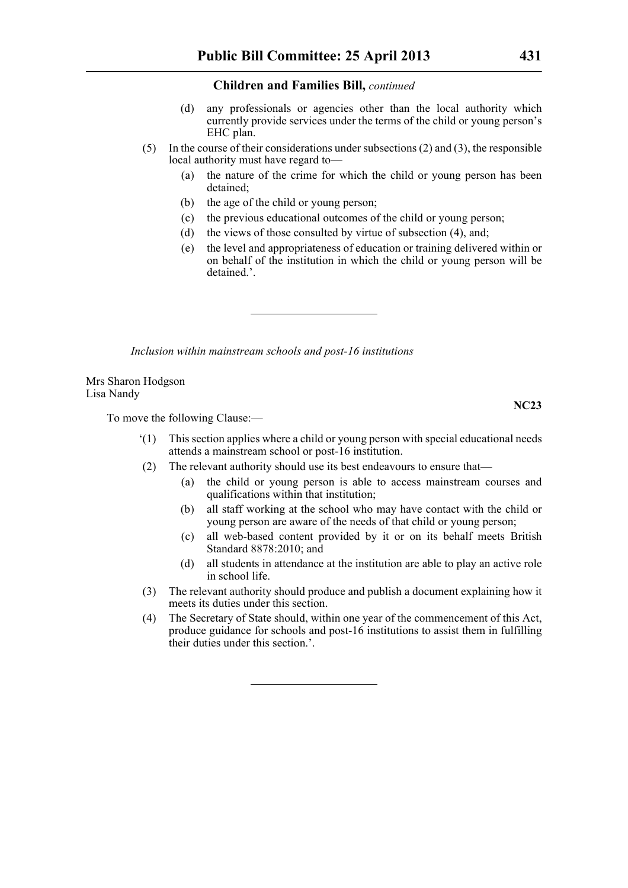- (d) any professionals or agencies other than the local authority which currently provide services under the terms of the child or young person's EHC plan.
- (5) In the course of their considerations under subsections (2) and (3), the responsible local authority must have regard to—
	- (a) the nature of the crime for which the child or young person has been detained;
	- (b) the age of the child or young person;
	- (c) the previous educational outcomes of the child or young person;
	- (d) the views of those consulted by virtue of subsection (4), and;
	- (e) the level and appropriateness of education or training delivered within or on behalf of the institution in which the child or young person will be detained.'.

*Inclusion within mainstream schools and post-16 institutions*

Mrs Sharon Hodgson Lisa Nandy

To move the following Clause:—

- '(1) This section applies where a child or young person with special educational needs attends a mainstream school or post-16 institution.
- (2) The relevant authority should use its best endeavours to ensure that—
	- (a) the child or young person is able to access mainstream courses and qualifications within that institution;
	- (b) all staff working at the school who may have contact with the child or young person are aware of the needs of that child or young person;
	- (c) all web-based content provided by it or on its behalf meets British Standard 8878:2010; and
	- (d) all students in attendance at the institution are able to play an active role in school life.
- (3) The relevant authority should produce and publish a document explaining how it meets its duties under this section.
- (4) The Secretary of State should, within one year of the commencement of this Act, produce guidance for schools and post-16 institutions to assist them in fulfilling their duties under this section.'.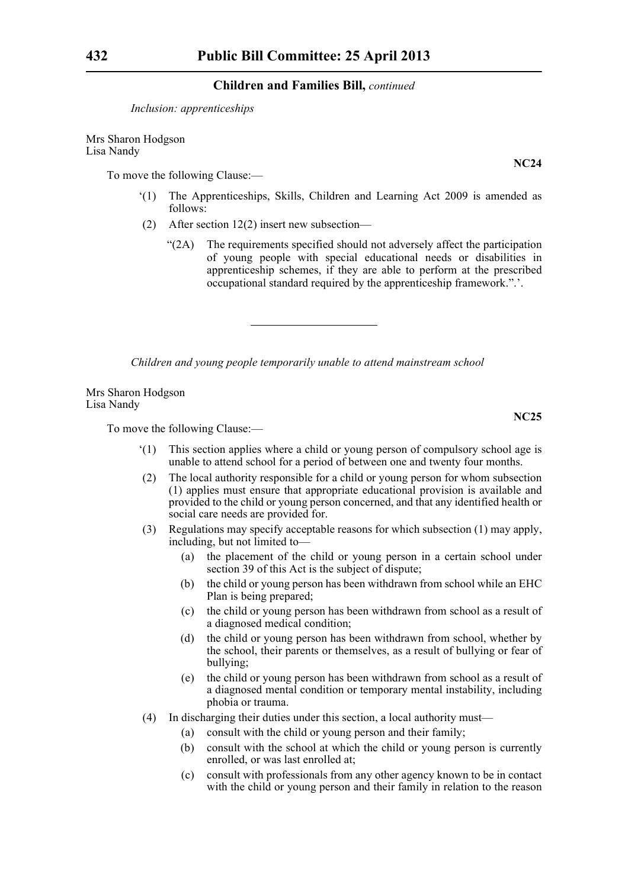*Inclusion: apprenticeships*

Mrs Sharon Hodgson Lisa Nandy

To move the following Clause:—

- '(1) The Apprenticeships, Skills, Children and Learning Act 2009 is amended as follows:
- (2) After section 12(2) insert new subsection—
	- "(2A) The requirements specified should not adversely affect the participation of young people with special educational needs or disabilities in apprenticeship schemes, if they are able to perform at the prescribed occupational standard required by the apprenticeship framework.".'.

*Children and young people temporarily unable to attend mainstream school*

Mrs Sharon Hodgson Lisa Nandy

To move the following Clause:—

- '(1) This section applies where a child or young person of compulsory school age is unable to attend school for a period of between one and twenty four months.
- (2) The local authority responsible for a child or young person for whom subsection (1) applies must ensure that appropriate educational provision is available and provided to the child or young person concerned, and that any identified health or social care needs are provided for.
- (3) Regulations may specify acceptable reasons for which subsection (1) may apply, including, but not limited to—
	- (a) the placement of the child or young person in a certain school under section 39 of this Act is the subject of dispute;
	- (b) the child or young person has been withdrawn from school while an EHC Plan is being prepared;
	- (c) the child or young person has been withdrawn from school as a result of a diagnosed medical condition;
	- (d) the child or young person has been withdrawn from school, whether by the school, their parents or themselves, as a result of bullying or fear of bullying;
	- (e) the child or young person has been withdrawn from school as a result of a diagnosed mental condition or temporary mental instability, including phobia or trauma.
- (4) In discharging their duties under this section, a local authority must—
	- (a) consult with the child or young person and their family;
	- (b) consult with the school at which the child or young person is currently enrolled, or was last enrolled at;
	- (c) consult with professionals from any other agency known to be in contact with the child or young person and their family in relation to the reason

**NC24**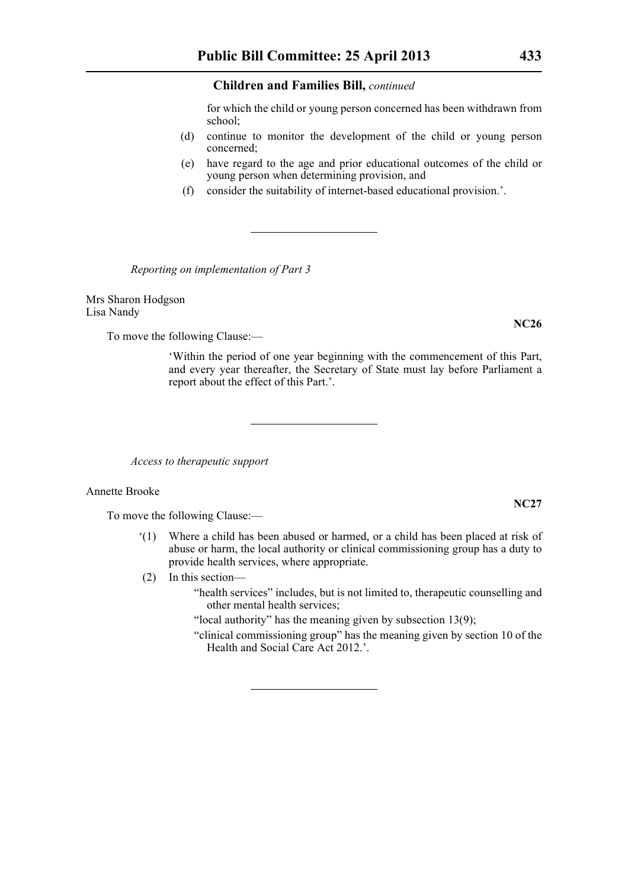for which the child or young person concerned has been withdrawn from school;

- (d) continue to monitor the development of the child or young person concerned;
- (e) have regard to the age and prior educational outcomes of the child or young person when determining provision, and
- (f) consider the suitability of internet-based educational provision.'.

*Reporting on implementation of Part 3*

Mrs Sharon Hodgson Lisa Nandy

To move the following Clause:—

'Within the period of one year beginning with the commencement of this Part, and every year thereafter, the Secretary of State must lay before Parliament a report about the effect of this Part.'.

*Access to therapeutic support*

#### Annette Brooke

To move the following Clause:—

- '(1) Where a child has been abused or harmed, or a child has been placed at risk of abuse or harm, the local authority or clinical commissioning group has a duty to provide health services, where appropriate.
- (2) In this section—
	- "health services" includes, but is not limited to, therapeutic counselling and other mental health services;

"local authority" has the meaning given by subsection 13(9);

"clinical commissioning group" has the meaning given by section 10 of the Health and Social Care Act 2012.'.

# **NC27**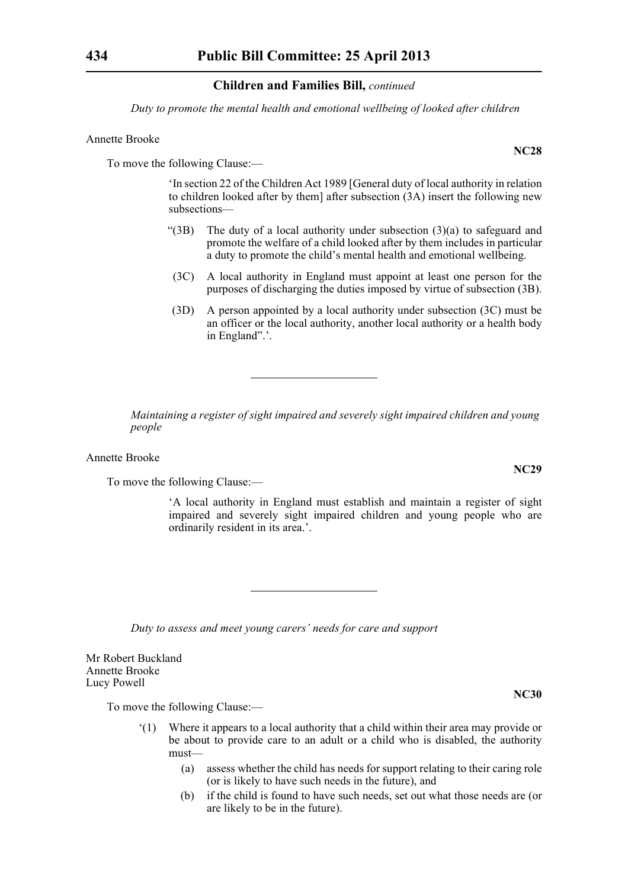*Duty to promote the mental health and emotional wellbeing of looked after children*

#### Annette Brooke

To move the following Clause:—

'In section 22 of the Children Act 1989 [General duty of local authority in relation to children looked after by them] after subsection (3A) insert the following new subsections—

- "(3B) The duty of a local authority under subsection  $(3)(a)$  to safeguard and promote the welfare of a child looked after by them includes in particular a duty to promote the child's mental health and emotional wellbeing.
- (3C) A local authority in England must appoint at least one person for the purposes of discharging the duties imposed by virtue of subsection (3B).
- (3D) A person appointed by a local authority under subsection (3C) must be an officer or the local authority, another local authority or a health body in England".'.

*Maintaining a register of sight impaired and severely sight impaired children and young people*

Annette Brooke

To move the following Clause:—

'A local authority in England must establish and maintain a register of sight impaired and severely sight impaired children and young people who are ordinarily resident in its area.'.

*Duty to assess and meet young carers' needs for care and support*

Mr Robert Buckland Annette Brooke Lucy Powell

To move the following Clause:—

- '(1) Where it appears to a local authority that a child within their area may provide or be about to provide care to an adult or a child who is disabled, the authority must—
	- (a) assess whether the child has needs for support relating to their caring role (or is likely to have such needs in the future), and
	- (b) if the child is found to have such needs, set out what those needs are (or are likely to be in the future).

**NC28**

**NC29**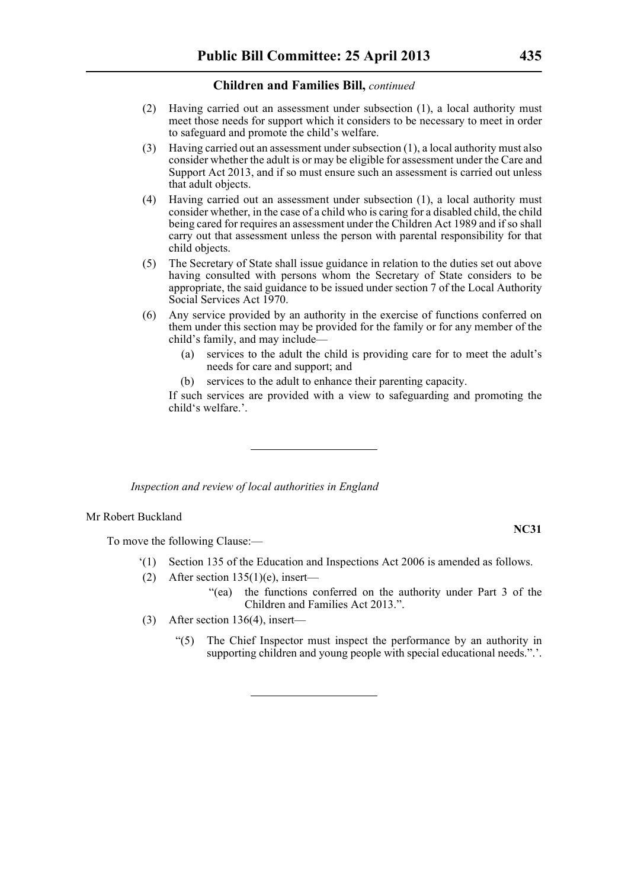- (2) Having carried out an assessment under subsection (1), a local authority must meet those needs for support which it considers to be necessary to meet in order to safeguard and promote the child's welfare.
- (3) Having carried out an assessment under subsection (1), a local authority must also consider whether the adult is or may be eligible for assessment under the Care and Support Act 2013, and if so must ensure such an assessment is carried out unless that adult objects.
- (4) Having carried out an assessment under subsection (1), a local authority must consider whether, in the case of a child who is caring for a disabled child, the child being cared for requires an assessment under the Children Act 1989 and if so shall carry out that assessment unless the person with parental responsibility for that child objects.
- (5) The Secretary of State shall issue guidance in relation to the duties set out above having consulted with persons whom the Secretary of State considers to be appropriate, the said guidance to be issued under section 7 of the Local Authority Social Services Act 1970.
- (6) Any service provided by an authority in the exercise of functions conferred on them under this section may be provided for the family or for any member of the child's family, and may include—
	- (a) services to the adult the child is providing care for to meet the adult's needs for care and support; and
	- (b) services to the adult to enhance their parenting capacity.

If such services are provided with a view to safeguarding and promoting the child's welfare.'.

*Inspection and review of local authorities in England*

#### Mr Robert Buckland

To move the following Clause:—

- '(1) Section 135 of the Education and Inspections Act 2006 is amended as follows.
- (2) After section  $135(1)(e)$ , insert—
	- "(ea) the functions conferred on the authority under Part 3 of the Children and Families Act 2013.".
- (3) After section 136(4), insert—
	- "(5) The Chief Inspector must inspect the performance by an authority in supporting children and young people with special educational needs.".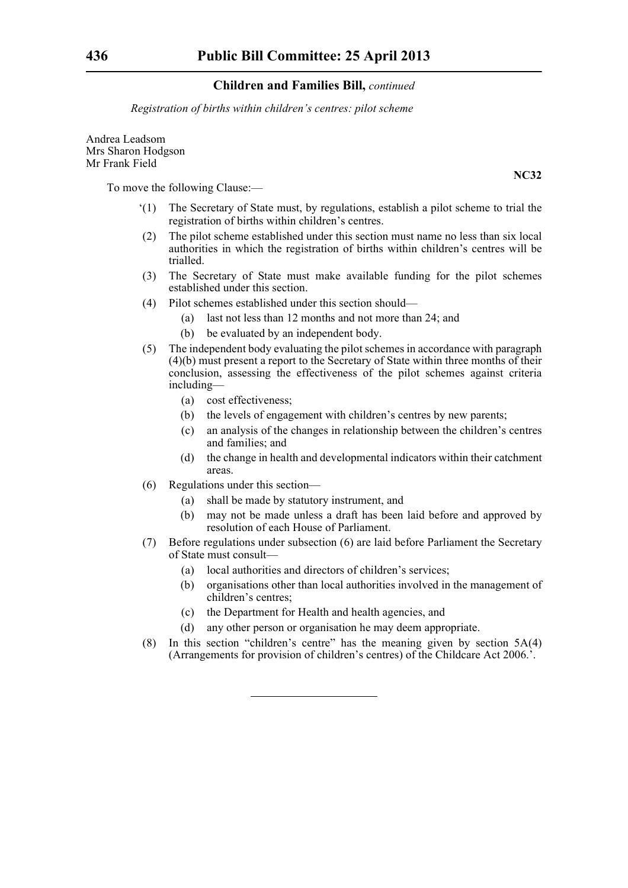*Registration of births within children's centres: pilot scheme*

Andrea Leadsom Mrs Sharon Hodgson Mr Frank Field

To move the following Clause:—

- '(1) The Secretary of State must, by regulations, establish a pilot scheme to trial the registration of births within children's centres.
- (2) The pilot scheme established under this section must name no less than six local authorities in which the registration of births within children's centres will be trialled.
- (3) The Secretary of State must make available funding for the pilot schemes established under this section.
- (4) Pilot schemes established under this section should—
	- (a) last not less than 12 months and not more than 24; and
	- (b) be evaluated by an independent body.
- (5) The independent body evaluating the pilot schemes in accordance with paragraph (4)(b) must present a report to the Secretary of State within three months of their conclusion, assessing the effectiveness of the pilot schemes against criteria including—
	- (a) cost effectiveness;
	- (b) the levels of engagement with children's centres by new parents;
	- (c) an analysis of the changes in relationship between the children's centres and families; and
	- (d) the change in health and developmental indicators within their catchment areas.
- (6) Regulations under this section—
	- (a) shall be made by statutory instrument, and
	- (b) may not be made unless a draft has been laid before and approved by resolution of each House of Parliament.
- (7) Before regulations under subsection (6) are laid before Parliament the Secretary of State must consult—
	- (a) local authorities and directors of children's services;
	- (b) organisations other than local authorities involved in the management of children's centres;
	- (c) the Department for Health and health agencies, and
	- (d) any other person or organisation he may deem appropriate.
- (8) In this section "children's centre" has the meaning given by section 5A(4) (Arrangements for provision of children's centres) of the Childcare Act 2006.'.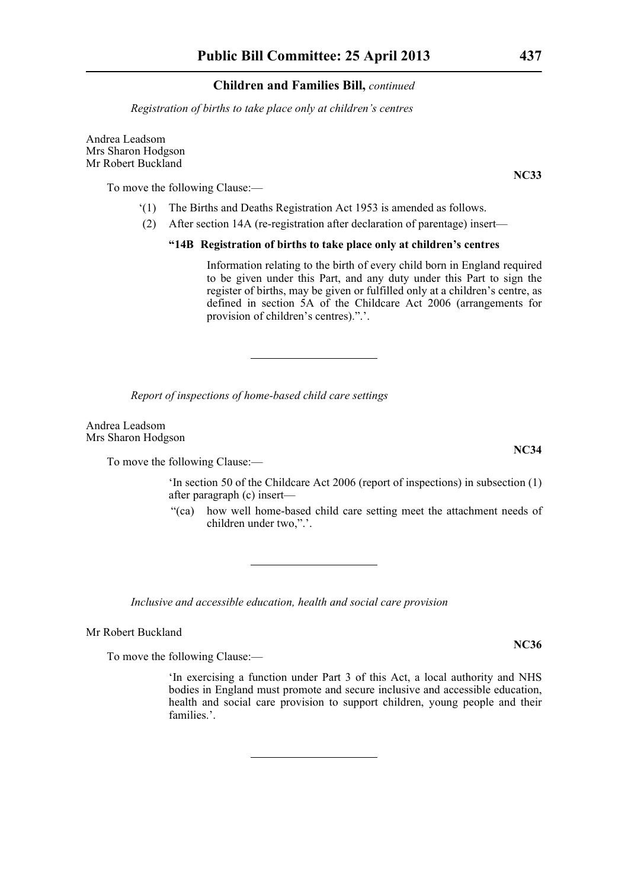*Registration of births to take place only at children's centres*

Andrea Leadsom Mrs Sharon Hodgson Mr Robert Buckland

To move the following Clause:—

- '(1) The Births and Deaths Registration Act 1953 is amended as follows.
- (2) After section 14A (re-registration after declaration of parentage) insert—

#### **"14B Registration of births to take place only at children's centres**

Information relating to the birth of every child born in England required to be given under this Part, and any duty under this Part to sign the register of births, may be given or fulfilled only at a children's centre, as defined in section 5A of the Childcare Act 2006 (arrangements for provision of children's centres).".'.

*Report of inspections of home-based child care settings*

Andrea Leadsom Mrs Sharon Hodgson

To move the following Clause:—

'In section 50 of the Childcare Act 2006 (report of inspections) in subsection (1) after paragraph (c) insert—

"(ca) how well home-based child care setting meet the attachment needs of children under two,".'.

*Inclusive and accessible education, health and social care provision*

Mr Robert Buckland

To move the following Clause:—

'In exercising a function under Part 3 of this Act, a local authority and NHS bodies in England must promote and secure inclusive and accessible education, health and social care provision to support children, young people and their families.'.

**NC33**

**NC36**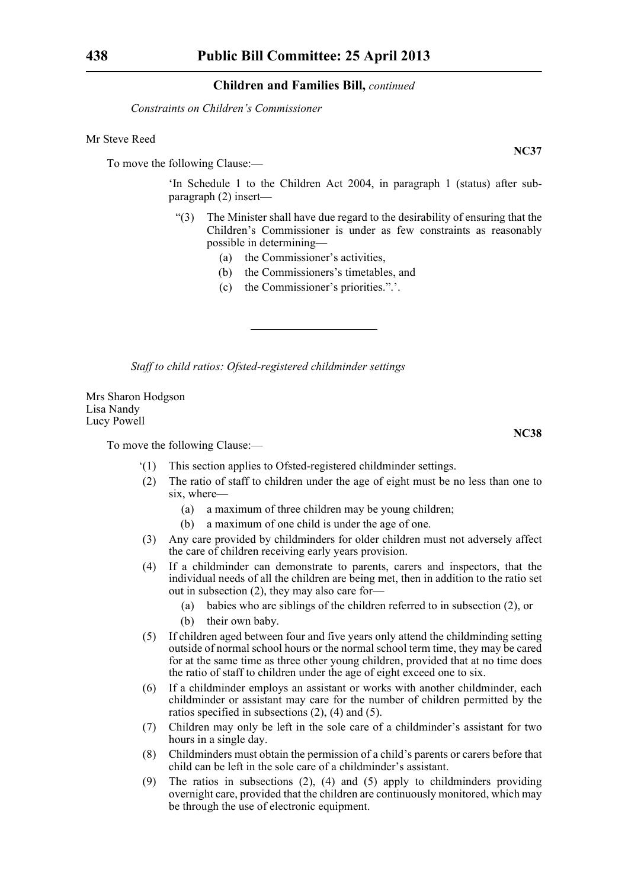*Constraints on Children's Commissioner*

#### Mr Steve Reed

To move the following Clause:—

'In Schedule 1 to the Children Act 2004, in paragraph 1 (status) after subparagraph (2) insert—

- "(3) The Minister shall have due regard to the desirability of ensuring that the Children's Commissioner is under as few constraints as reasonably possible in determining—
	- (a) the Commissioner's activities,
	- (b) the Commissioners's timetables, and
	- (c) the Commissioner's priorities.".'.

*Staff to child ratios: Ofsted-registered childminder settings*

Mrs Sharon Hodgson Lisa Nandy Lucy Powell

To move the following Clause:—

- '(1) This section applies to Ofsted-registered childminder settings.
- (2) The ratio of staff to children under the age of eight must be no less than one to six, where—
	- (a) a maximum of three children may be young children;
	- (b) a maximum of one child is under the age of one.
- (3) Any care provided by childminders for older children must not adversely affect the care of children receiving early years provision.
- (4) If a childminder can demonstrate to parents, carers and inspectors, that the individual needs of all the children are being met, then in addition to the ratio set out in subsection (2), they may also care for—
	- (a) babies who are siblings of the children referred to in subsection (2), or
	- (b) their own baby.
- (5) If children aged between four and five years only attend the childminding setting outside of normal school hours or the normal school term time, they may be cared for at the same time as three other young children, provided that at no time does the ratio of staff to children under the age of eight exceed one to six.
- (6) If a childminder employs an assistant or works with another childminder, each childminder or assistant may care for the number of children permitted by the ratios specified in subsections (2), (4) and (5).
- (7) Children may only be left in the sole care of a childminder's assistant for two hours in a single day.
- (8) Childminders must obtain the permission of a child's parents or carers before that child can be left in the sole care of a childminder's assistant.
- (9) The ratios in subsections (2), (4) and (5) apply to childminders providing overnight care, provided that the children are continuously monitored, which may be through the use of electronic equipment.

**NC37**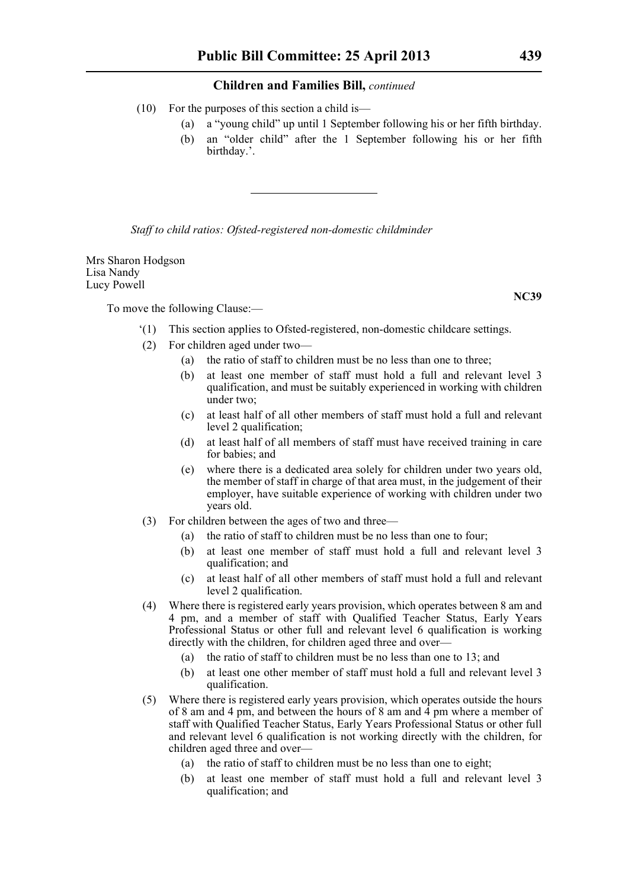- (10) For the purposes of this section a child is—
	- (a) a "young child" up until 1 September following his or her fifth birthday.
	- (b) an "older child" after the 1 September following his or her fifth birthday.'.

*Staff to child ratios: Ofsted-registered non-domestic childminder*

Mrs Sharon Hodgson Lisa Nandy Lucy Powell

To move the following Clause:—

- '(1) This section applies to Ofsted-registered, non-domestic childcare settings.
- (2) For children aged under two—
	- (a) the ratio of staff to children must be no less than one to three;
	- (b) at least one member of staff must hold a full and relevant level 3 qualification, and must be suitably experienced in working with children under two;
	- (c) at least half of all other members of staff must hold a full and relevant level 2 qualification;
	- (d) at least half of all members of staff must have received training in care for babies; and
	- (e) where there is a dedicated area solely for children under two years old, the member of staff in charge of that area must, in the judgement of their employer, have suitable experience of working with children under two years old.
- (3) For children between the ages of two and three—
	- (a) the ratio of staff to children must be no less than one to four;
	- (b) at least one member of staff must hold a full and relevant level 3 qualification; and
	- (c) at least half of all other members of staff must hold a full and relevant level 2 qualification.
- (4) Where there is registered early years provision, which operates between 8 am and 4 pm, and a member of staff with Qualified Teacher Status, Early Years Professional Status or other full and relevant level 6 qualification is working directly with the children, for children aged three and over—
	- (a) the ratio of staff to children must be no less than one to 13; and
	- (b) at least one other member of staff must hold a full and relevant level 3 qualification.
- (5) Where there is registered early years provision, which operates outside the hours of 8 am and 4 pm, and between the hours of 8 am and  $\overline{4}$  pm where a member of staff with Qualified Teacher Status, Early Years Professional Status or other full and relevant level 6 qualification is not working directly with the children, for children aged three and over—
	- (a) the ratio of staff to children must be no less than one to eight;
	- (b) at least one member of staff must hold a full and relevant level 3 qualification; and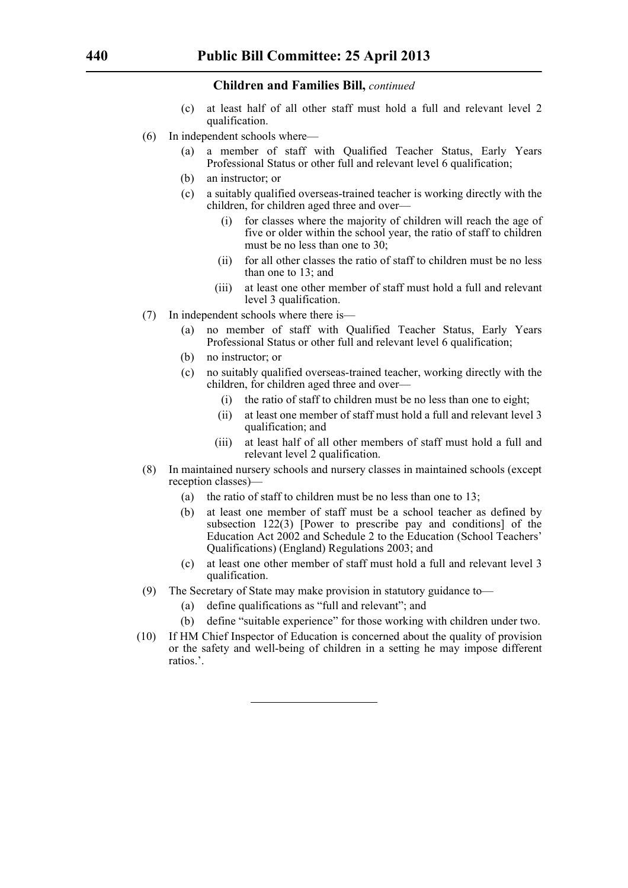- (c) at least half of all other staff must hold a full and relevant level 2 qualification.
- (6) In independent schools where—
	- (a) a member of staff with Qualified Teacher Status, Early Years Professional Status or other full and relevant level 6 qualification;
	- (b) an instructor; or
	- (c) a suitably qualified overseas-trained teacher is working directly with the children, for children aged three and over—
		- (i) for classes where the majority of children will reach the age of five or older within the school year, the ratio of staff to children must be no less than one to 30;
		- (ii) for all other classes the ratio of staff to children must be no less than one to 13; and
		- (iii) at least one other member of staff must hold a full and relevant level 3 qualification.
- (7) In independent schools where there is—
	- (a) no member of staff with Qualified Teacher Status, Early Years Professional Status or other full and relevant level 6 qualification;
	- (b) no instructor; or
	- (c) no suitably qualified overseas-trained teacher, working directly with the children, for children aged three and over—
		- (i) the ratio of staff to children must be no less than one to eight;
		- (ii) at least one member of staff must hold a full and relevant level 3 qualification; and
		- (iii) at least half of all other members of staff must hold a full and relevant level 2 qualification.
- (8) In maintained nursery schools and nursery classes in maintained schools (except reception classes)—
	- (a) the ratio of staff to children must be no less than one to 13;
	- (b) at least one member of staff must be a school teacher as defined by subsection 122(3) [Power to prescribe pay and conditions] of the Education Act 2002 and Schedule 2 to the Education (School Teachers' Qualifications) (England) Regulations 2003; and
	- (c) at least one other member of staff must hold a full and relevant level 3 qualification.
- (9) The Secretary of State may make provision in statutory guidance to—
	- (a) define qualifications as "full and relevant"; and
	- (b) define "suitable experience" for those working with children under two.
- (10) If HM Chief Inspector of Education is concerned about the quality of provision or the safety and well-being of children in a setting he may impose different ratios.'.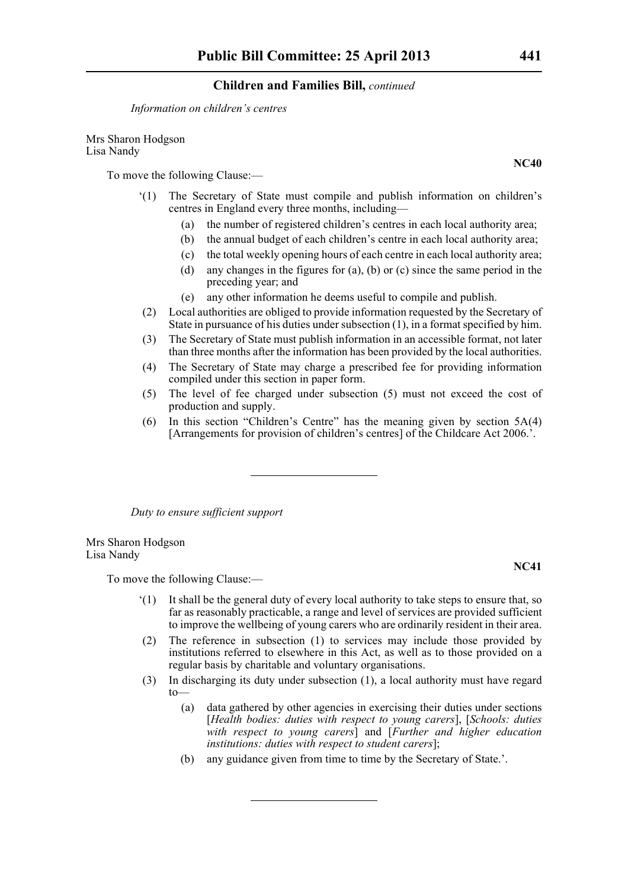*Information on children's centres*

Mrs Sharon Hodgson Lisa Nandy

To move the following Clause:—

- '(1) The Secretary of State must compile and publish information on children's centres in England every three months, including—
	- (a) the number of registered children's centres in each local authority area;
	- (b) the annual budget of each children's centre in each local authority area;
	- (c) the total weekly opening hours of each centre in each local authority area;
	- (d) any changes in the figures for (a), (b) or (c) since the same period in the preceding year; and
	- (e) any other information he deems useful to compile and publish.
- (2) Local authorities are obliged to provide information requested by the Secretary of State in pursuance of his duties under subsection (1), in a format specified by him.
- (3) The Secretary of State must publish information in an accessible format, not later than three months after the information has been provided by the local authorities.
- (4) The Secretary of State may charge a prescribed fee for providing information compiled under this section in paper form.
- (5) The level of fee charged under subsection (5) must not exceed the cost of production and supply.
- (6) In this section "Children's Centre" has the meaning given by section 5A(4) [Arrangements for provision of children's centres] of the Childcare Act 2006.'.

*Duty to ensure sufficient support*

Mrs Sharon Hodgson Lisa Nandy

To move the following Clause:—

- '(1) It shall be the general duty of every local authority to take steps to ensure that, so far as reasonably practicable, a range and level of services are provided sufficient to improve the wellbeing of young carers who are ordinarily resident in their area.
- (2) The reference in subsection (1) to services may include those provided by institutions referred to elsewhere in this Act, as well as to those provided on a regular basis by charitable and voluntary organisations.
- (3) In discharging its duty under subsection (1), a local authority must have regard to—
	- (a) data gathered by other agencies in exercising their duties under sections [*Health bodies: duties with respect to young carers*], [*Schools: duties with respect to young carers*] and [*Further and higher education institutions: duties with respect to student carers*];
	- (b) any guidance given from time to time by the Secretary of State.'.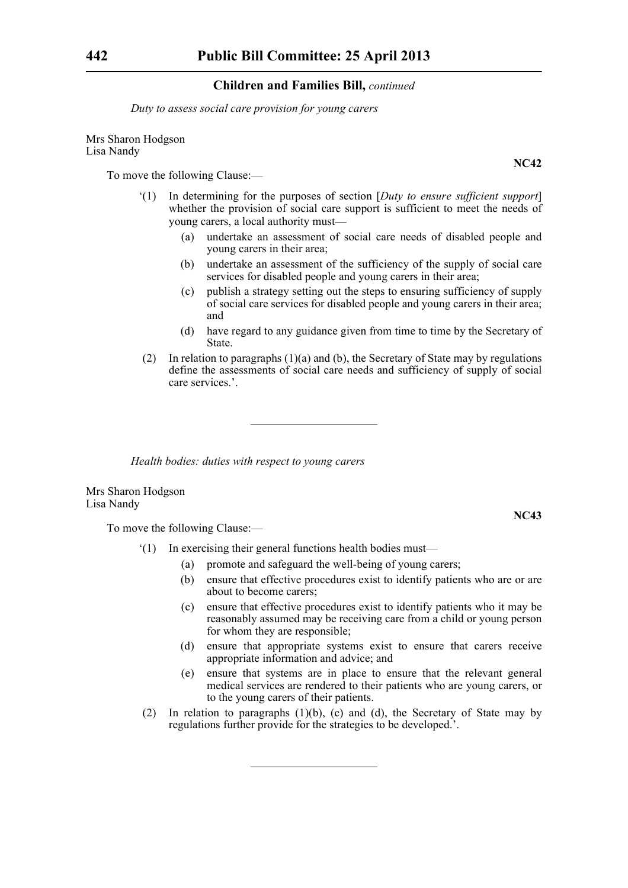*Duty to assess social care provision for young carers*

Mrs Sharon Hodgson Lisa Nandy

To move the following Clause:—

- '(1) In determining for the purposes of section [*Duty to ensure sufficient support*] whether the provision of social care support is sufficient to meet the needs of young carers, a local authority must—
	- (a) undertake an assessment of social care needs of disabled people and young carers in their area;
	- (b) undertake an assessment of the sufficiency of the supply of social care services for disabled people and young carers in their area;
	- (c) publish a strategy setting out the steps to ensuring sufficiency of supply of social care services for disabled people and young carers in their area; and
	- (d) have regard to any guidance given from time to time by the Secretary of State.
- (2) In relation to paragraphs (1)(a) and (b), the Secretary of State may by regulations define the assessments of social care needs and sufficiency of supply of social care services.'.

*Health bodies: duties with respect to young carers*

Mrs Sharon Hodgson Lisa Nandy

To move the following Clause:—

- '(1) In exercising their general functions health bodies must—
	- (a) promote and safeguard the well-being of young carers;
	- (b) ensure that effective procedures exist to identify patients who are or are about to become carers;
	- (c) ensure that effective procedures exist to identify patients who it may be reasonably assumed may be receiving care from a child or young person for whom they are responsible;
	- (d) ensure that appropriate systems exist to ensure that carers receive appropriate information and advice; and
	- (e) ensure that systems are in place to ensure that the relevant general medical services are rendered to their patients who are young carers, or to the young carers of their patients.
- (2) In relation to paragraphs  $(1)(b)$ , (c) and (d), the Secretary of State may by regulations further provide for the strategies to be developed.'.

**NC42**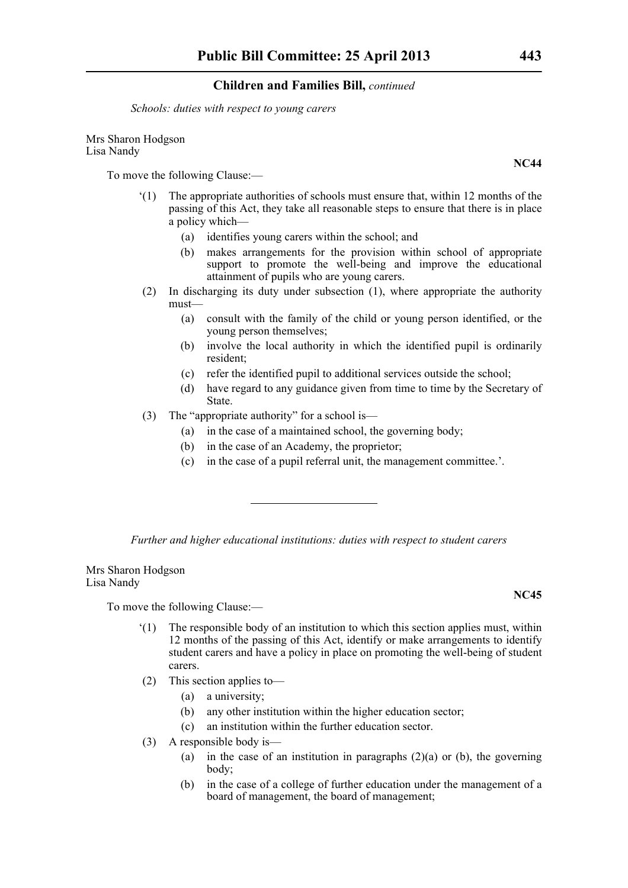*Schools: duties with respect to young carers*

#### Mrs Sharon Hodgson Lisa Nandy

To move the following Clause:—

- '(1) The appropriate authorities of schools must ensure that, within 12 months of the passing of this Act, they take all reasonable steps to ensure that there is in place a policy which—
	- (a) identifies young carers within the school; and
	- (b) makes arrangements for the provision within school of appropriate support to promote the well-being and improve the educational attainment of pupils who are young carers.
- (2) In discharging its duty under subsection (1), where appropriate the authority must—
	- (a) consult with the family of the child or young person identified, or the young person themselves;
	- (b) involve the local authority in which the identified pupil is ordinarily resident;
	- (c) refer the identified pupil to additional services outside the school;
	- (d) have regard to any guidance given from time to time by the Secretary of State.
- (3) The "appropriate authority" for a school is—
	- (a) in the case of a maintained school, the governing body;
	- (b) in the case of an Academy, the proprietor;
	- (c) in the case of a pupil referral unit, the management committee.'.

*Further and higher educational institutions: duties with respect to student carers*

Mrs Sharon Hodgson Lisa Nandy

To move the following Clause:—

- '(1) The responsible body of an institution to which this section applies must, within 12 months of the passing of this Act, identify or make arrangements to identify student carers and have a policy in place on promoting the well-being of student carers.
- (2) This section applies to—
	- (a) a university;
	- (b) any other institution within the higher education sector;
	- (c) an institution within the further education sector.
- (3) A responsible body is—
	- (a) in the case of an institution in paragraphs  $(2)(a)$  or (b), the governing body;
	- (b) in the case of a college of further education under the management of a board of management, the board of management;

**NC45**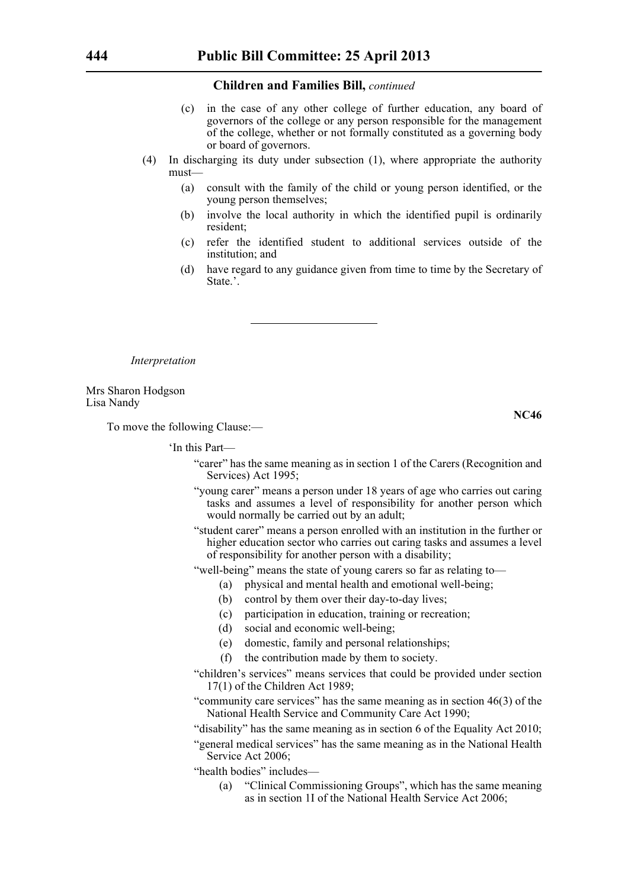- (c) in the case of any other college of further education, any board of governors of the college or any person responsible for the management of the college, whether or not formally constituted as a governing body or board of governors.
- (4) In discharging its duty under subsection (1), where appropriate the authority must—
	- (a) consult with the family of the child or young person identified, or the young person themselves;
	- (b) involve the local authority in which the identified pupil is ordinarily resident;
	- (c) refer the identified student to additional services outside of the institution; and
	- (d) have regard to any guidance given from time to time by the Secretary of State.'.

*Interpretation*

Mrs Sharon Hodgson Lisa Nandy

**NC46**

To move the following Clause:—

'In this Part—

- "carer" has the same meaning as in section 1 of the Carers (Recognition and Services) Act 1995;
- "young carer" means a person under 18 years of age who carries out caring tasks and assumes a level of responsibility for another person which would normally be carried out by an adult;
- "student carer" means a person enrolled with an institution in the further or higher education sector who carries out caring tasks and assumes a level of responsibility for another person with a disability;
- "well-being" means the state of young carers so far as relating to—
	- (a) physical and mental health and emotional well-being;
		- (b) control by them over their day-to-day lives;
		- (c) participation in education, training or recreation;
		- (d) social and economic well-being;
		- (e) domestic, family and personal relationships;
		- (f) the contribution made by them to society.
- "children's services" means services that could be provided under section 17(1) of the Children Act 1989;
- "community care services" has the same meaning as in section 46(3) of the National Health Service and Community Care Act 1990;
- "disability" has the same meaning as in section 6 of the Equality Act 2010;
- "general medical services" has the same meaning as in the National Health Service Act 2006;
- "health bodies" includes—
	- (a) "Clinical Commissioning Groups", which has the same meaning as in section 1I of the National Health Service Act 2006;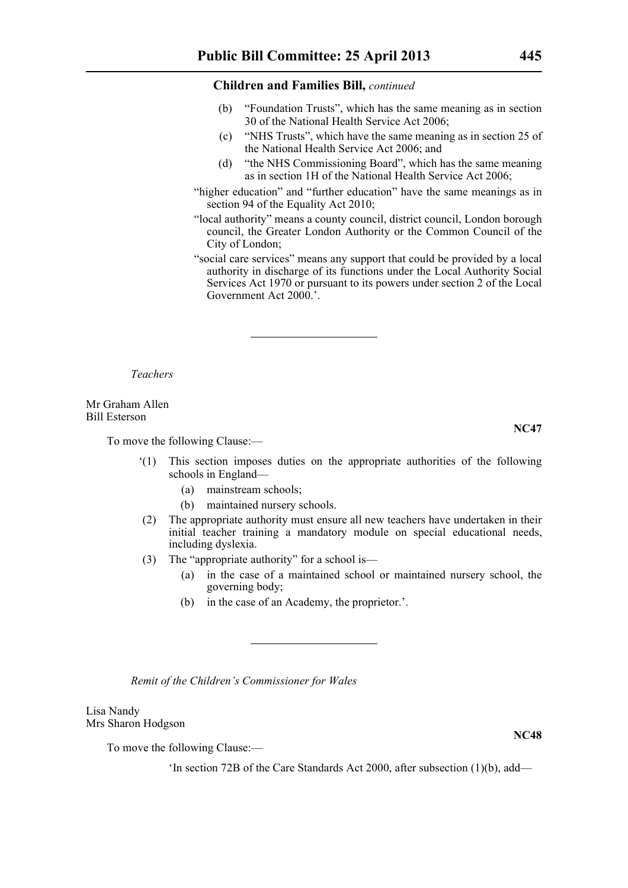- (b) "Foundation Trusts", which has the same meaning as in section 30 of the National Health Service Act 2006;
- (c) "NHS Trusts", which have the same meaning as in section 25 of the National Health Service Act 2006; and
- (d) "the NHS Commissioning Board", which has the same meaning as in section 1H of the National Health Service Act 2006;
- "higher education" and "further education" have the same meanings as in section 94 of the Equality Act 2010;
- "local authority" means a county council, district council, London borough council, the Greater London Authority or the Common Council of the City of London;
- "social care services" means any support that could be provided by a local authority in discharge of its functions under the Local Authority Social Services Act 1970 or pursuant to its powers under section 2 of the Local Government Act 2000.'.

*Teachers*

Mr Graham Allen Bill Esterson

To move the following Clause:—

- '(1) This section imposes duties on the appropriate authorities of the following schools in England—
	- (a) mainstream schools;
	- (b) maintained nursery schools.
- (2) The appropriate authority must ensure all new teachers have undertaken in their initial teacher training a mandatory module on special educational needs, including dyslexia.
- (3) The "appropriate authority" for a school is—
	- (a) in the case of a maintained school or maintained nursery school, the governing body;
	- (b) in the case of an Academy, the proprietor.'.

*Remit of the Children's Commissioner for Wales*

Lisa Nandy Mrs Sharon Hodgson

To move the following Clause:—

'In section 72B of the Care Standards Act 2000, after subsection (1)(b), add—

**NC47**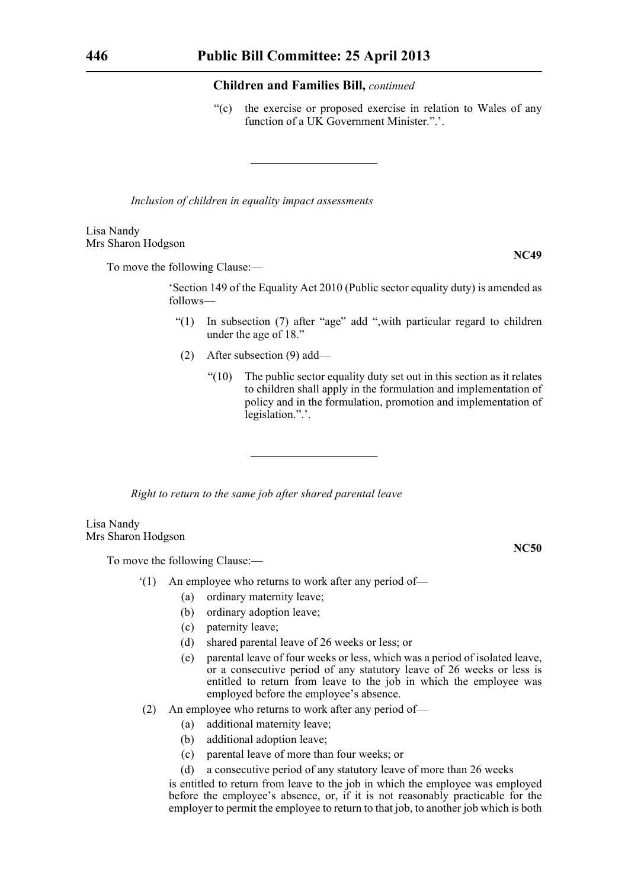"(c) the exercise or proposed exercise in relation to Wales of any function of a UK Government Minister.".'.

*Inclusion of children in equality impact assessments*

#### Lisa Nandy Mrs Sharon Hodgson

To move the following Clause:—

'Section 149 of the Equality Act 2010 (Public sector equality duty) is amended as follows—

- "(1) In subsection (7) after "age" add ",with particular regard to children under the age of 18."
- (2) After subsection (9) add—
	- $"(10)$  The public sector equality duty set out in this section as it relates to children shall apply in the formulation and implementation of policy and in the formulation, promotion and implementation of legislation.".'.

*Right to return to the same job after shared parental leave* 

Lisa Nandy Mrs Sharon Hodgson

To move the following Clause:—

- '(1) An employee who returns to work after any period of—
	- (a) ordinary maternity leave;
	- (b) ordinary adoption leave;
	- (c) paternity leave;
	- (d) shared parental leave of 26 weeks or less; or
	- (e) parental leave of four weeks or less, which was a period of isolated leave, or a consecutive period of any statutory leave of 26 weeks or less is entitled to return from leave to the job in which the employee was employed before the employee's absence.
- (2) An employee who returns to work after any period of—
	- (a) additional maternity leave;
	- (b) additional adoption leave;
	- (c) parental leave of more than four weeks; or
	- (d) a consecutive period of any statutory leave of more than 26 weeks

is entitled to return from leave to the job in which the employee was employed before the employee's absence, or, if it is not reasonably practicable for the employer to permit the employee to return to that job, to another job which is both

**NC49**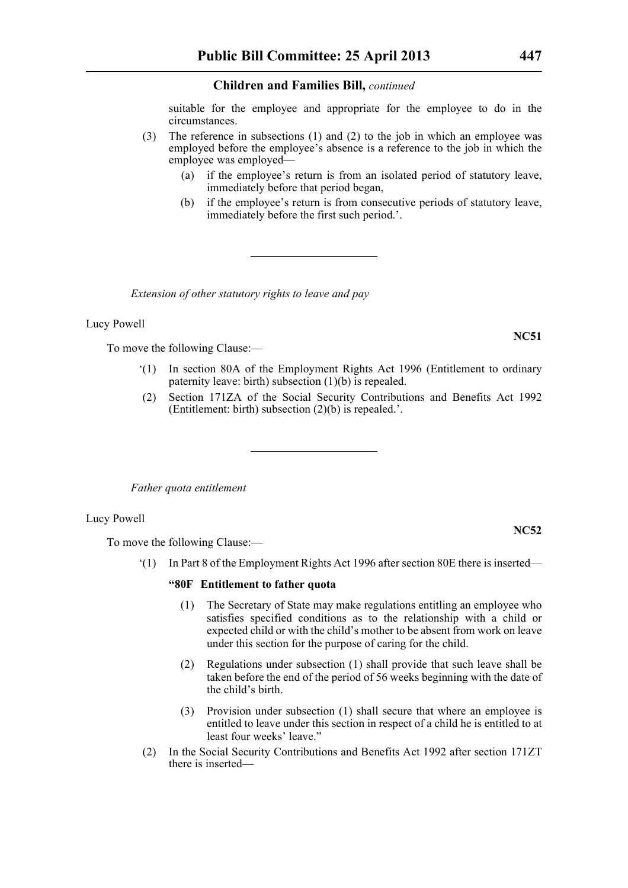suitable for the employee and appropriate for the employee to do in the circumstances.

- (3) The reference in subsections (1) and (2) to the job in which an employee was employed before the employee's absence is a reference to the job in which the employee was employed—
	- (a) if the employee's return is from an isolated period of statutory leave, immediately before that period began,
	- (b) if the employee's return is from consecutive periods of statutory leave, immediately before the first such period.'.

*Extension of other statutory rights to leave and pay*

#### Lucy Powell

To move the following Clause:—

- '(1) In section 80A of the Employment Rights Act 1996 (Entitlement to ordinary paternity leave: birth) subsection (1)(b) is repealed.
- (2) Section 171ZA of the Social Security Contributions and Benefits Act 1992 (Entitlement: birth) subsection (2)(b) is repealed.'.

*Father quota entitlement*

#### Lucy Powell

To move the following Clause:—

'(1) In Part 8 of the Employment Rights Act 1996 after section 80E there is inserted—

#### **"80F Entitlement to father quota**

- (1) The Secretary of State may make regulations entitling an employee who satisfies specified conditions as to the relationship with a child or expected child or with the child's mother to be absent from work on leave under this section for the purpose of caring for the child.
- (2) Regulations under subsection (1) shall provide that such leave shall be taken before the end of the period of 56 weeks beginning with the date of the child's birth.
- (3) Provision under subsection (1) shall secure that where an employee is entitled to leave under this section in respect of a child he is entitled to at least four weeks' leave."
- (2) In the Social Security Contributions and Benefits Act 1992 after section 171ZT there is inserted—

**NC51**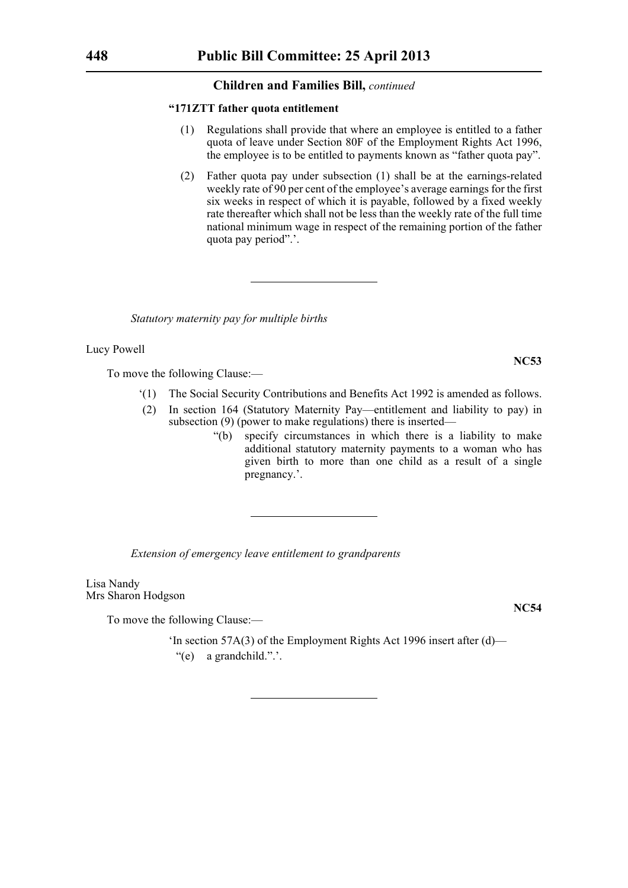#### **"171ZTT father quota entitlement**

- (1) Regulations shall provide that where an employee is entitled to a father quota of leave under Section 80F of the Employment Rights Act 1996, the employee is to be entitled to payments known as "father quota pay".
- (2) Father quota pay under subsection (1) shall be at the earnings-related weekly rate of 90 per cent of the employee's average earnings for the first six weeks in respect of which it is payable, followed by a fixed weekly rate thereafter which shall not be less than the weekly rate of the full time national minimum wage in respect of the remaining portion of the father quota pay period".'.

*Statutory maternity pay for multiple births*

Lucy Powell

To move the following Clause:—

- '(1) The Social Security Contributions and Benefits Act 1992 is amended as follows.
- (2) In section 164 (Statutory Maternity Pay—entitlement and liability to pay) in subsection (9) (power to make regulations) there is inserted—
	- "(b) specify circumstances in which there is a liability to make additional statutory maternity payments to a woman who has given birth to more than one child as a result of a single pregnancy.'.

*Extension of emergency leave entitlement to grandparents*

Lisa Nandy Mrs Sharon Hodgson

To move the following Clause:—

'In section 57A(3) of the Employment Rights Act 1996 insert after (d)— "(e) a grandchild.".'.

**NC54**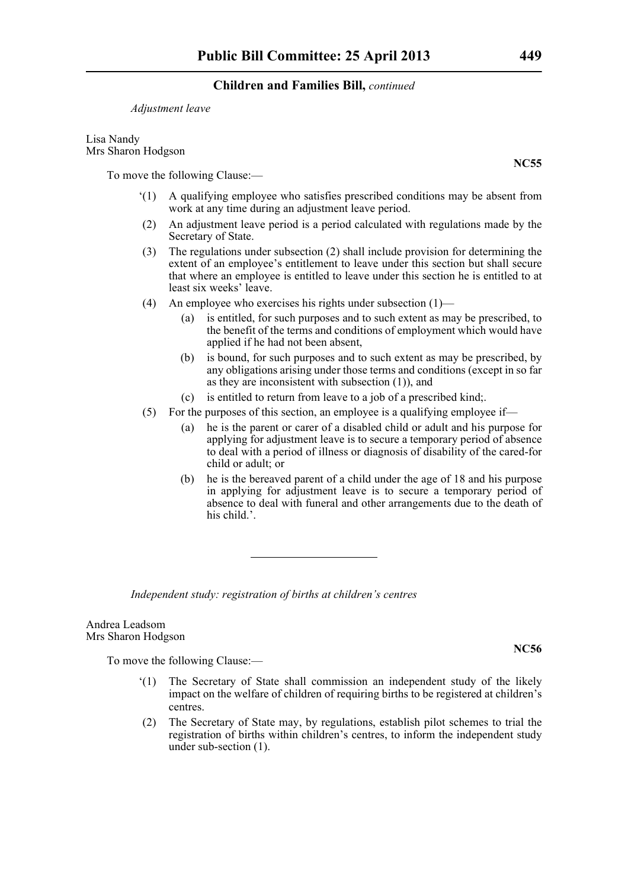#### *Adjustment leave*

Lisa Nandy Mrs Sharon Hodgson

To move the following Clause:—

- '(1) A qualifying employee who satisfies prescribed conditions may be absent from work at any time during an adjustment leave period.
- (2) An adjustment leave period is a period calculated with regulations made by the Secretary of State.
- (3) The regulations under subsection (2) shall include provision for determining the extent of an employee's entitlement to leave under this section but shall secure that where an employee is entitled to leave under this section he is entitled to at least six weeks' leave.
- (4) An employee who exercises his rights under subsection  $(1)$ 
	- (a) is entitled, for such purposes and to such extent as may be prescribed, to the benefit of the terms and conditions of employment which would have applied if he had not been absent,
	- (b) is bound, for such purposes and to such extent as may be prescribed, by any obligations arising under those terms and conditions (except in so far as they are inconsistent with subsection (1)), and
	- (c) is entitled to return from leave to a job of a prescribed kind;.
- (5) For the purposes of this section, an employee is a qualifying employee if—
	- (a) he is the parent or carer of a disabled child or adult and his purpose for applying for adjustment leave is to secure a temporary period of absence to deal with a period of illness or diagnosis of disability of the cared-for child or adult; or
	- (b) he is the bereaved parent of a child under the age of 18 and his purpose in applying for adjustment leave is to secure a temporary period of absence to deal with funeral and other arrangements due to the death of his child.

*Independent study: registration of births at children's centres*

Andrea Leadsom Mrs Sharon Hodgson

To move the following Clause:—

- '(1) The Secretary of State shall commission an independent study of the likely impact on the welfare of children of requiring births to be registered at children's centres.
- (2) The Secretary of State may, by regulations, establish pilot schemes to trial the registration of births within children's centres, to inform the independent study under sub-section (1).

**NC55**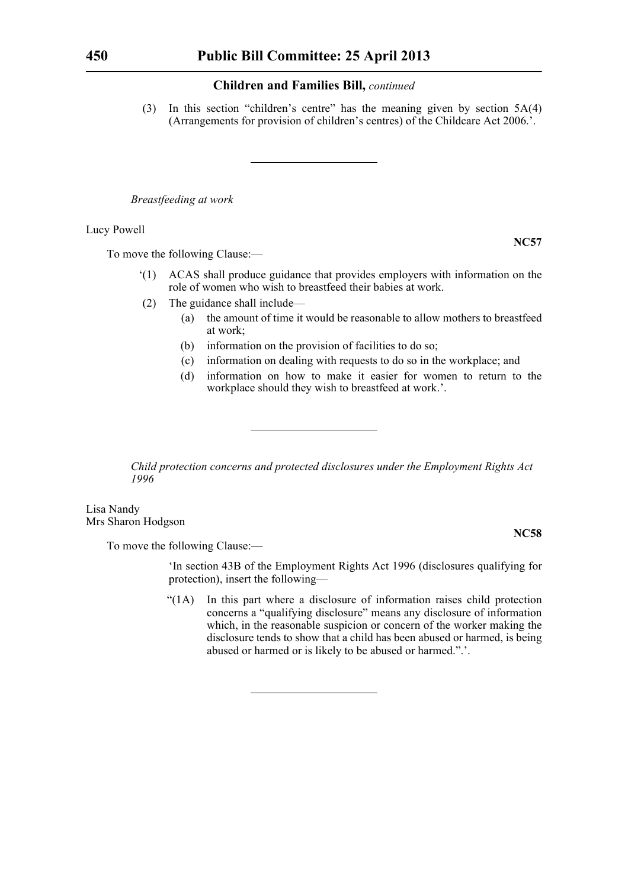(3) In this section "children's centre" has the meaning given by section 5A(4) (Arrangements for provision of children's centres) of the Childcare Act 2006.'.

*Breastfeeding at work*

Lucy Powell

To move the following Clause:—

- '(1) ACAS shall produce guidance that provides employers with information on the role of women who wish to breastfeed their babies at work.
- (2) The guidance shall include—
	- (a) the amount of time it would be reasonable to allow mothers to breastfeed at work;
	- (b) information on the provision of facilities to do so;
	- (c) information on dealing with requests to do so in the workplace; and
	- (d) information on how to make it easier for women to return to the workplace should they wish to breastfeed at work.'.

*Child protection concerns and protected disclosures under the Employment Rights Act 1996*

Lisa Nandy Mrs Sharon Hodgson

To move the following Clause:—

'In section 43B of the Employment Rights Act 1996 (disclosures qualifying for protection), insert the following—

"(1A) In this part where a disclosure of information raises child protection concerns a "qualifying disclosure" means any disclosure of information which, in the reasonable suspicion or concern of the worker making the disclosure tends to show that a child has been abused or harmed, is being abused or harmed or is likely to be abused or harmed.".'.

**NC57**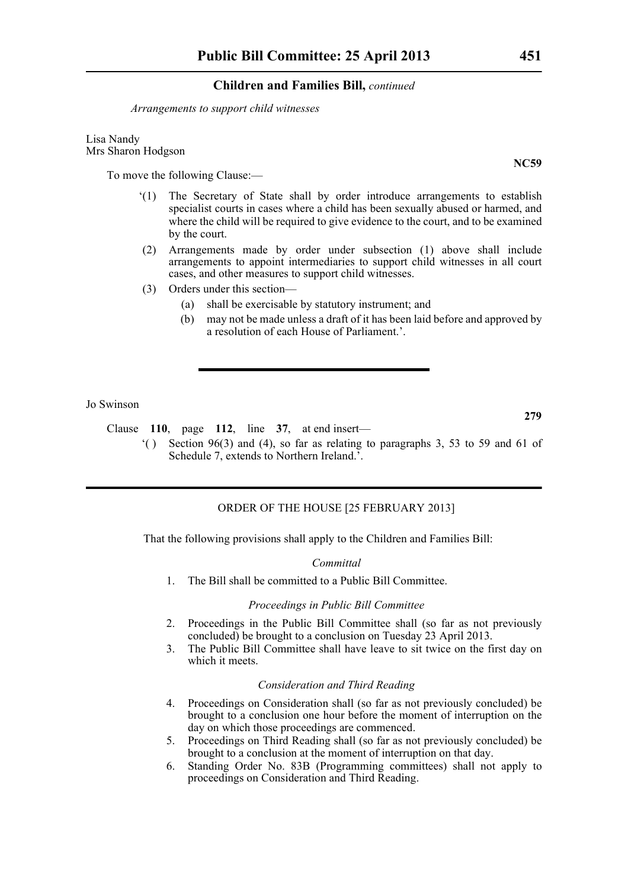*Arrangements to support child witnesses*

Lisa Nandy Mrs Sharon Hodgson

To move the following Clause:—

- '(1) The Secretary of State shall by order introduce arrangements to establish specialist courts in cases where a child has been sexually abused or harmed, and where the child will be required to give evidence to the court, and to be examined by the court.
- (2) Arrangements made by order under subsection (1) above shall include arrangements to appoint intermediaries to support child witnesses in all court cases, and other measures to support child witnesses.
- (3) Orders under this section—
	- (a) shall be exercisable by statutory instrument; and
	- (b) may not be made unless a draft of it has been laid before and approved by a resolution of each House of Parliament.'.

Jo Swinson

Clause **110**, page **112**, line **37**, at end insert—

'( ) Section 96(3) and (4), so far as relating to paragraphs 3, 53 to 59 and 61 of Schedule 7, extends to Northern Ireland.<sup>7</sup>.

### ORDER OF THE HOUSE [25 FEBRUARY 2013]

That the following provisions shall apply to the Children and Families Bill:

#### *Committal*

1. The Bill shall be committed to a Public Bill Committee.

#### *Proceedings in Public Bill Committee*

- 2. Proceedings in the Public Bill Committee shall (so far as not previously concluded) be brought to a conclusion on Tuesday 23 April 2013.
- 3. The Public Bill Committee shall have leave to sit twice on the first day on which it meets.

#### *Consideration and Third Reading*

- 4. Proceedings on Consideration shall (so far as not previously concluded) be brought to a conclusion one hour before the moment of interruption on the day on which those proceedings are commenced.
- 5. Proceedings on Third Reading shall (so far as not previously concluded) be brought to a conclusion at the moment of interruption on that day.
- 6. Standing Order No. 83B (Programming committees) shall not apply to proceedings on Consideration and Third Reading.

**NC59**

**279**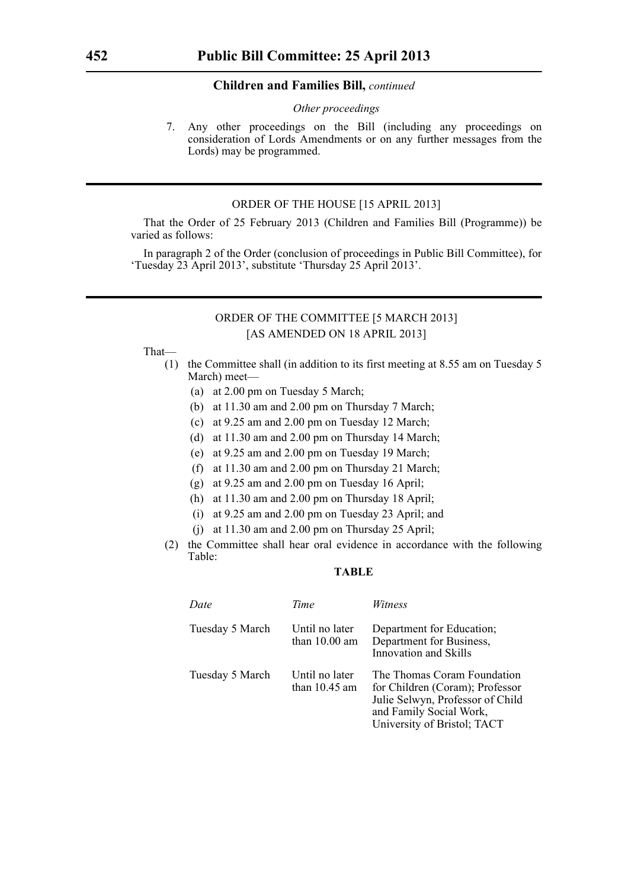#### *Other proceedings*

7. Any other proceedings on the Bill (including any proceedings on consideration of Lords Amendments or on any further messages from the Lords) may be programmed.

# ORDER OF THE HOUSE [15 APRIL 2013]

That the Order of 25 February 2013 (Children and Families Bill (Programme)) be varied as follows:

In paragraph 2 of the Order (conclusion of proceedings in Public Bill Committee), for 'Tuesday 23 April 2013', substitute 'Thursday 25 April 2013'.

# ORDER OF THE COMMITTEE [5 MARCH 2013] [AS AMENDED ON 18 APRIL 2013]

### That—

- (1) the Committee shall (in addition to its first meeting at 8.55 am on Tuesday 5 March) meet—
	- (a) at 2.00 pm on Tuesday 5 March;
	- (b) at 11.30 am and 2.00 pm on Thursday 7 March;
	- (c) at 9.25 am and 2.00 pm on Tuesday 12 March;
	- (d) at 11.30 am and 2.00 pm on Thursday 14 March;
	- (e) at 9.25 am and 2.00 pm on Tuesday 19 March;
	- (f) at 11.30 am and 2.00 pm on Thursday 21 March;
	- (g) at 9.25 am and 2.00 pm on Tuesday 16 April;
	- (h) at 11.30 am and 2.00 pm on Thursday 18 April;
	- (i) at 9.25 am and 2.00 pm on Tuesday 23 April; and
	- (j) at 11.30 am and 2.00 pm on Thursday 25 April;
- (2) the Committee shall hear oral evidence in accordance with the following Table:

# **TABLE**

| Date            | Time                              | <i>Witness</i>                                                                                                                                               |
|-----------------|-----------------------------------|--------------------------------------------------------------------------------------------------------------------------------------------------------------|
| Tuesday 5 March | Until no later<br>than $10.00$ am | Department for Education;<br>Department for Business,<br>Innovation and Skills                                                                               |
| Tuesday 5 March | Until no later<br>than $10.45$ am | The Thomas Coram Foundation<br>for Children (Coram); Professor<br>Julie Selwyn, Professor of Child<br>and Family Social Work,<br>University of Bristol; TACT |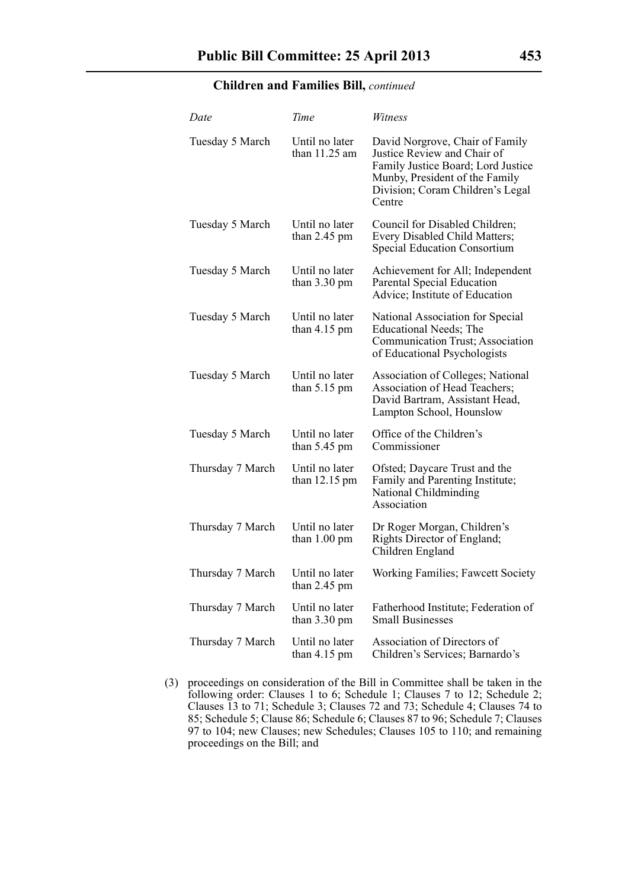| Date             | Time                                     | Witness                                                                                                                                                                              |
|------------------|------------------------------------------|--------------------------------------------------------------------------------------------------------------------------------------------------------------------------------------|
| Tuesday 5 March  | Until no later<br>than $11.25$ am        | David Norgrove, Chair of Family<br>Justice Review and Chair of<br>Family Justice Board; Lord Justice<br>Munby, President of the Family<br>Division; Coram Children's Legal<br>Centre |
| Tuesday 5 March  | Until no later<br>than $2.45$ pm         | Council for Disabled Children;<br>Every Disabled Child Matters;<br><b>Special Education Consortium</b>                                                                               |
| Tuesday 5 March  | Until no later<br>than $3.30 \text{ pm}$ | Achievement for All; Independent<br>Parental Special Education<br>Advice; Institute of Education                                                                                     |
| Tuesday 5 March  | Until no later<br>than $4.15$ pm         | National Association for Special<br>Educational Needs; The<br>Communication Trust; Association<br>of Educational Psychologists                                                       |
| Tuesday 5 March  | Until no later<br>than $5.15 \text{ pm}$ | <b>Association of Colleges; National</b><br>Association of Head Teachers;<br>David Bartram, Assistant Head,<br>Lampton School, Hounslow                                              |
| Tuesday 5 March  | Until no later<br>than $5.45$ pm         | Office of the Children's<br>Commissioner                                                                                                                                             |
| Thursday 7 March | Until no later<br>than 12.15 pm          | Ofsted; Daycare Trust and the<br>Family and Parenting Institute;<br>National Childminding<br>Association                                                                             |
| Thursday 7 March | Until no later<br>than 1.00 pm           | Dr Roger Morgan, Children's<br>Rights Director of England;<br>Children England                                                                                                       |
| Thursday 7 March | Until no later<br>than $2.45$ pm         | <b>Working Families</b> ; Fawcett Society                                                                                                                                            |
| Thursday 7 March | Until no later<br>than $3.30 \text{ pm}$ | Fatherhood Institute; Federation of<br><b>Small Businesses</b>                                                                                                                       |
| Thursday 7 March | Until no later<br>than $4.15$ pm         | Association of Directors of<br>Children's Services; Barnardo's                                                                                                                       |

(3) proceedings on consideration of the Bill in Committee shall be taken in the following order: Clauses 1 to 6; Schedule 1; Clauses 7 to 12; Schedule 2; Clauses 13 to 71; Schedule 3; Clauses 72 and 73; Schedule 4; Clauses 74 to 85; Schedule 5; Clause 86; Schedule 6; Clauses 87 to 96; Schedule 7; Clauses 97 to 104; new Clauses; new Schedules; Clauses 105 to 110; and remaining proceedings on the Bill; and